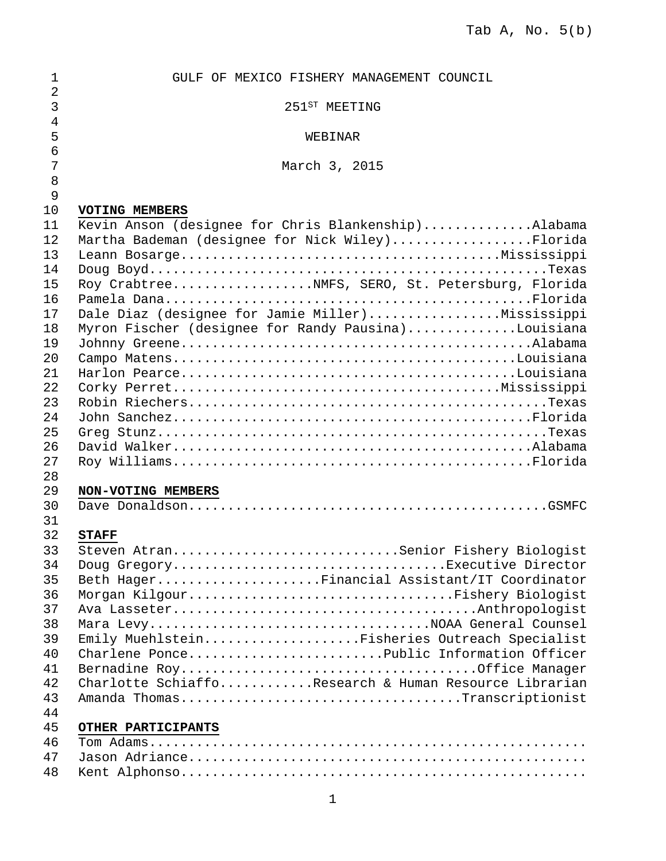| 1              | GULF OF MEXICO FISHERY MANAGEMENT COUNCIL             |
|----------------|-------------------------------------------------------|
| $\overline{2}$ |                                                       |
| $\mathbf{3}$   | 251 <sup>ST</sup> MEETING                             |
| $\overline{4}$ |                                                       |
| 5              | WEBINAR                                               |
| 6              |                                                       |
| 7              | March 3, 2015                                         |
| 8              |                                                       |
| 9              |                                                       |
| 10             | VOTING MEMBERS                                        |
| 11             | Kevin Anson (designee for Chris Blankenship)Alabama   |
| 12             | Martha Bademan (designee for Nick Wiley)Florida       |
| 13             |                                                       |
| 14             |                                                       |
| 15             | Roy CrabtreeNMFS, SERO, St. Petersburg, Florida       |
| 16             |                                                       |
| 17             | Dale Diaz (designee for Jamie Miller)Mississippi      |
| 18             | Myron Fischer (designee for Randy Pausina)Louisiana   |
| 19             |                                                       |
| 20             |                                                       |
| 21             |                                                       |
| 22             |                                                       |
| 23             |                                                       |
| 24             |                                                       |
| 25             |                                                       |
| 26             |                                                       |
| 27             |                                                       |
| 28             |                                                       |
| 29             | NON-VOTING MEMBERS                                    |
| 30             |                                                       |
| 31             |                                                       |
| 32             | <b>STAFF</b>                                          |
| 33             | Steven AtranSenior Fishery Biologist                  |
| 34             | Doug GregoryExecutive Director                        |
| 35             | Beth HagerFinancial Assistant/IT Coordinator          |
| 36             | Morgan KilgourFishery Biologist                       |
| 37             |                                                       |
| 38             | Mara LevyNOAA General Counsel                         |
| 39             | Emily MuehlsteinFisheries Outreach Specialist         |
| 40             | Charlene PoncePublic Information Officer              |
| 41             |                                                       |
| 42             | Charlotte SchiaffoResearch & Human Resource Librarian |
| 43             | Amanda ThomasTranscriptionist                         |
| 44             |                                                       |
| 45             | OTHER PARTICIPANTS                                    |
| 46             |                                                       |
| 47             |                                                       |
| 48             |                                                       |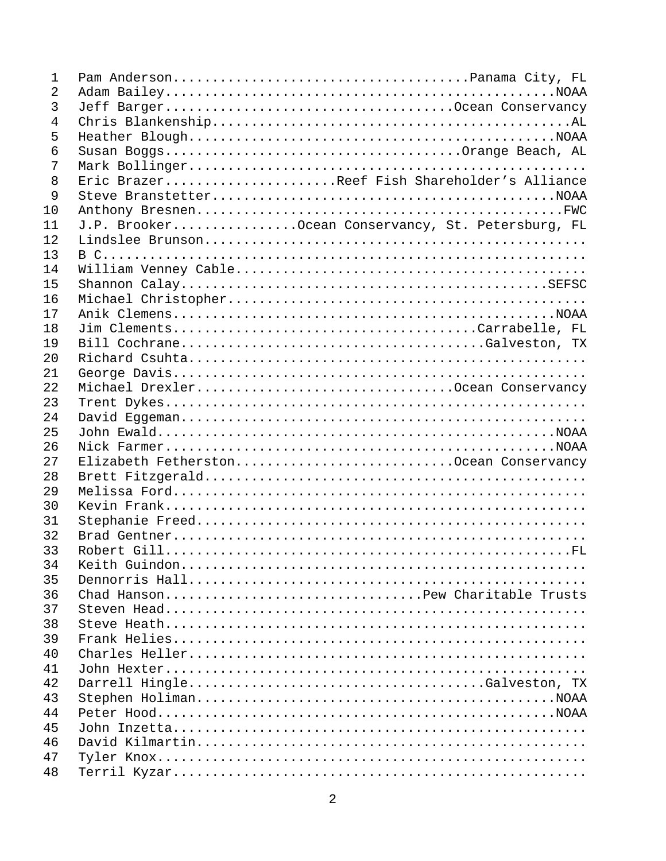| 1  |                                                   |
|----|---------------------------------------------------|
| 2  |                                                   |
| 3  |                                                   |
| 4  |                                                   |
| 5  |                                                   |
| 6  |                                                   |
| 7  |                                                   |
| 8  | Eric BrazerReef Fish Shareholder's Alliance       |
| 9  |                                                   |
| 10 |                                                   |
| 11 | J.P. BrookerOcean Conservancy, St. Petersburg, FL |
| 12 |                                                   |
| 13 |                                                   |
| 14 |                                                   |
| 15 |                                                   |
| 16 |                                                   |
| 17 |                                                   |
| 18 |                                                   |
| 19 | Bill CochraneGalveston, TX                        |
| 20 |                                                   |
| 21 |                                                   |
| 22 | Michael DrexlerOcean Conservancy                  |
| 23 |                                                   |
| 24 |                                                   |
| 25 |                                                   |
| 26 |                                                   |
| 27 | Elizabeth FetherstonOcean Conservancy             |
| 28 |                                                   |
| 29 |                                                   |
| 30 |                                                   |
| 31 |                                                   |
| 32 |                                                   |
| 33 |                                                   |
| 34 |                                                   |
| 35 |                                                   |
| 36 | Chad HansonPew Charitable Trusts                  |
| 37 |                                                   |
| 38 |                                                   |
| 39 |                                                   |
| 40 |                                                   |
| 41 |                                                   |
| 42 |                                                   |
| 43 |                                                   |
| 44 |                                                   |
| 45 |                                                   |
| 46 |                                                   |
| 47 |                                                   |
| 48 |                                                   |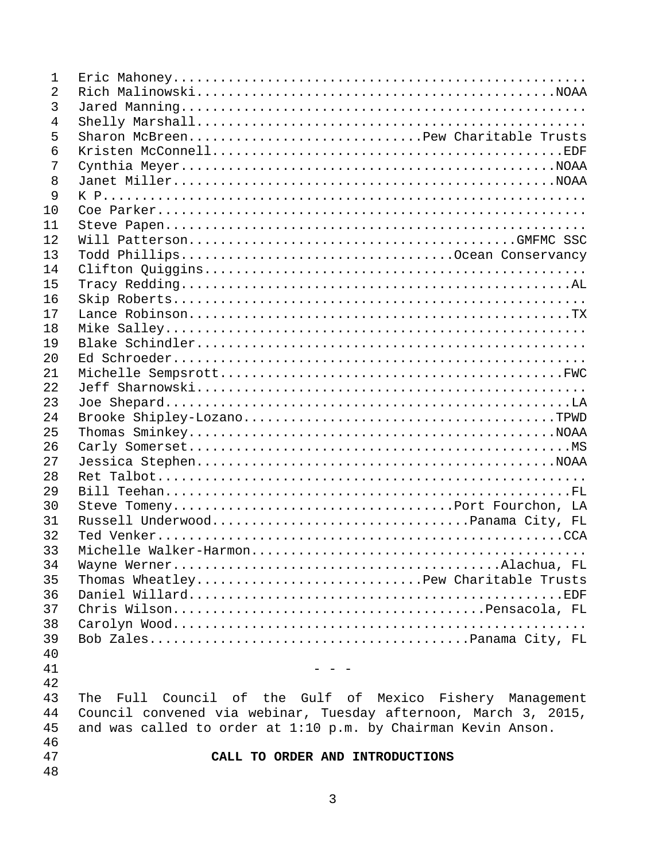| $\mathbf 1$    |                                                                 |
|----------------|-----------------------------------------------------------------|
| 2              |                                                                 |
| 3              |                                                                 |
| $\overline{4}$ |                                                                 |
| 5              | Sharon McBreenPew Charitable Trusts                             |
| 6              |                                                                 |
| 7              |                                                                 |
| 8              |                                                                 |
| 9              |                                                                 |
| 10             |                                                                 |
| 11             |                                                                 |
| 12             |                                                                 |
| 13             |                                                                 |
| 14             |                                                                 |
| 15             |                                                                 |
| 16             |                                                                 |
| 17             |                                                                 |
| 18             |                                                                 |
| 19             |                                                                 |
| 20             |                                                                 |
| 21             |                                                                 |
| 22             |                                                                 |
| 23             |                                                                 |
| 24             |                                                                 |
| 25             |                                                                 |
| 26             |                                                                 |
| 27             |                                                                 |
| 28             |                                                                 |
| 29             |                                                                 |
| 30             |                                                                 |
| 31             |                                                                 |
| 32             |                                                                 |
| 33             |                                                                 |
| 34             |                                                                 |
| 35             | Thomas WheatleyPew Charitable Trusts                            |
| 36             |                                                                 |
| 37             |                                                                 |
| 38             |                                                                 |
| 39             |                                                                 |
| 40             |                                                                 |
| 41             |                                                                 |
|                |                                                                 |
| 42             |                                                                 |
| 43             | The Full Council of the Gulf of Mexico Fishery Management       |
| 44             | Council convened via webinar, Tuesday afternoon, March 3, 2015, |
| 45             | and was called to order at 1:10 p.m. by Chairman Kevin Anson.   |
| 46             |                                                                 |
| 47             | CALL TO ORDER AND INTRODUCTIONS                                 |
| 48             |                                                                 |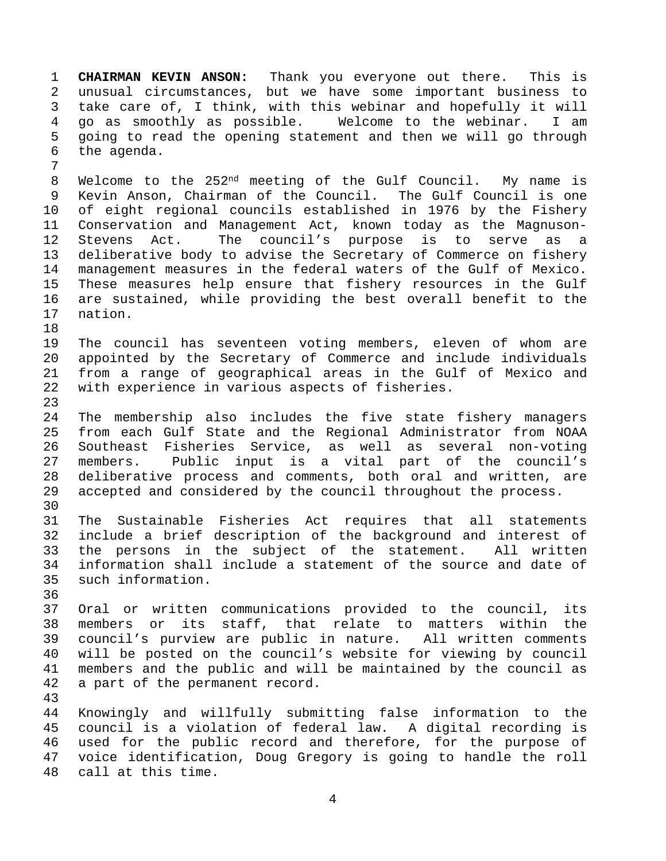1 **CHAIRMAN KEVIN ANSON:** Thank you everyone out there. This is 2 unusual circumstances, but we have some important business to 3 take care of, I think, with this webinar and hopefully it will 4 go as smoothly as possible. Welcome to the webinar. I am 5 going to read the opening statement and then we will go through 6 the agenda. 7

8 Welcome to the 252nd meeting of the Gulf Council. My name is 9 Kevin Anson, Chairman of the Council. The Gulf Council is one 10 of eight regional councils established in 1976 by the Fishery 11 Conservation and Management Act, known today as the Magnuson-12 Stevens Act. The council's purpose is to serve as a 13 deliberative body to advise the Secretary of Commerce on fishery 14 management measures in the federal waters of the Gulf of Mexico. 15 These measures help ensure that fishery resources in the Gulf 16 are sustained, while providing the best overall benefit to the 17 nation.

19 The council has seventeen voting members, eleven of whom are 20 appointed by the Secretary of Commerce and include individuals 21 from a range of geographical areas in the Gulf of Mexico and 22 with experience in various aspects of fisheries.

24 The membership also includes the five state fishery managers 25 from each Gulf State and the Regional Administrator from NOAA 26 Southeast Fisheries Service, as well as several non-voting 27 members. Public input is a vital part of the council's 28 deliberative process and comments, both oral and written, are 29 accepted and considered by the council throughout the process. 30

31 The Sustainable Fisheries Act requires that all statements 32 include a brief description of the background and interest of 33 the persons in the subject of the statement. All written 34 information shall include a statement of the source and date of 35 such information.

36

43

18

23

37 Oral or written communications provided to the council, its 38 members or its staff, that relate to matters within the 39 council's purview are public in nature. All written comments 40 will be posted on the council's website for viewing by council 41 members and the public and will be maintained by the council as 42 a part of the permanent record.

44 Knowingly and willfully submitting false information to the 45 council is a violation of federal law. A digital recording is 46 used for the public record and therefore, for the purpose of 47 voice identification, Doug Gregory is going to handle the roll 48 call at this time.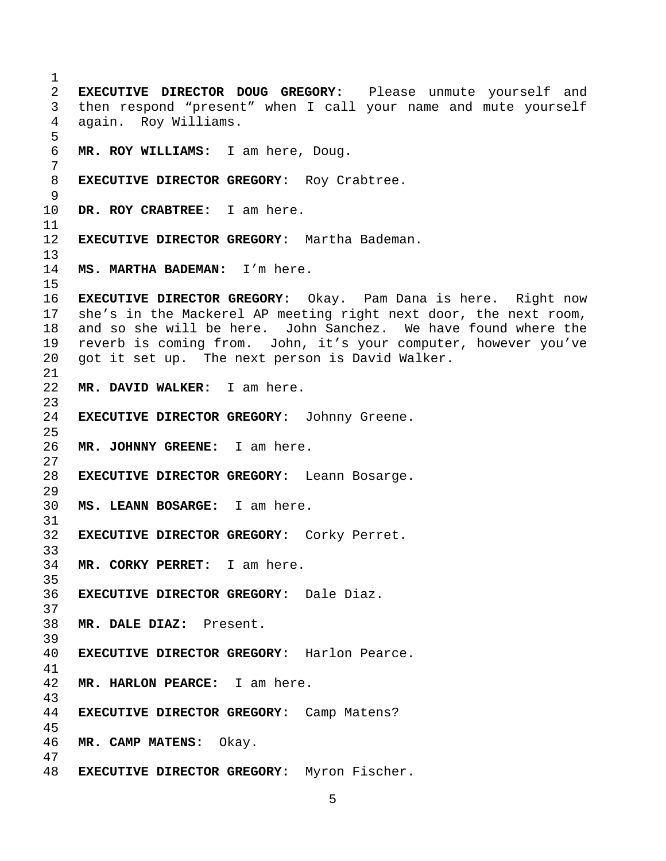**EXECUTIVE DIRECTOR DOUG GREGORY:** Please unmute yourself and 3 then respond "present" when I call your name and mute yourself 4 again. Roy Williams. **MR. ROY WILLIAMS:** I am here, Doug. **EXECUTIVE DIRECTOR GREGORY:** Roy Crabtree. **DR. ROY CRABTREE:** I am here. **EXECUTIVE DIRECTOR GREGORY:** Martha Bademan. **MS. MARTHA BADEMAN:** I'm here. **EXECUTIVE DIRECTOR GREGORY:** Okay. Pam Dana is here. Right now 17 she's in the Mackerel AP meeting right next door, the next room, 18 and so she will be here. John Sanchez. We have found where the 19 reverb is coming from. John, it's your computer, however you've 20 got it set up. The next person is David Walker. **MR. DAVID WALKER:** I am here. **EXECUTIVE DIRECTOR GREGORY:** Johnny Greene. **MR. JOHNNY GREENE:** I am here. **EXECUTIVE DIRECTOR GREGORY:** Leann Bosarge. **MS. LEANN BOSARGE:** I am here. **EXECUTIVE DIRECTOR GREGORY:** Corky Perret. **MR. CORKY PERRET:** I am here. **EXECUTIVE DIRECTOR GREGORY:** Dale Diaz. **MR. DALE DIAZ:** Present. **EXECUTIVE DIRECTOR GREGORY:** Harlon Pearce. **MR. HARLON PEARCE:** I am here. **EXECUTIVE DIRECTOR GREGORY:** Camp Matens? **MR. CAMP MATENS:** Okay. **EXECUTIVE DIRECTOR GREGORY:** Myron Fischer.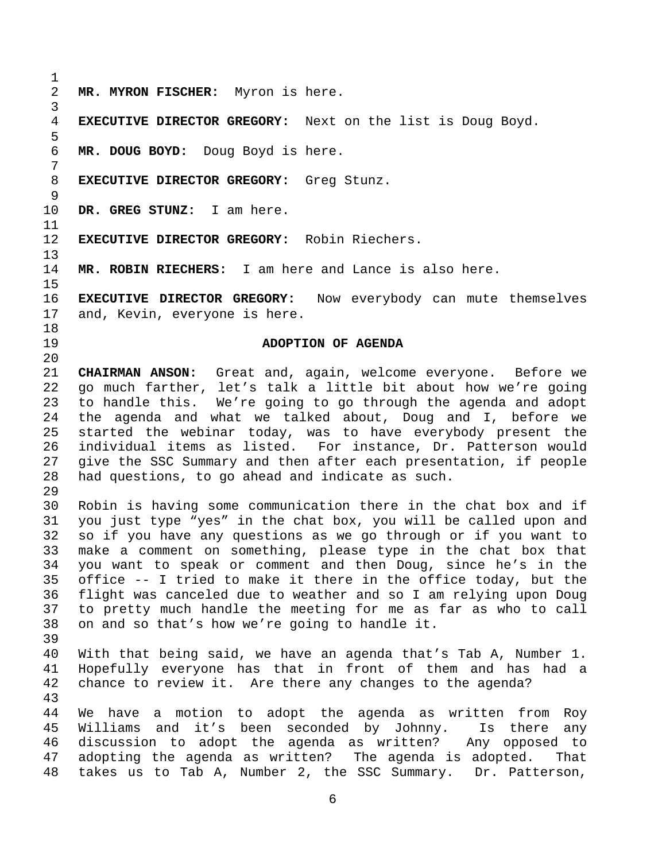1 2 **MR. MYRON FISCHER:** Myron is here. 3 4 **EXECUTIVE DIRECTOR GREGORY:** Next on the list is Doug Boyd. 5 6 **MR. DOUG BOYD:** Doug Boyd is here. 7 8 **EXECUTIVE DIRECTOR GREGORY:** Greg Stunz. 9 10 **DR. GREG STUNZ:** I am here. 11 12 **EXECUTIVE DIRECTOR GREGORY:** Robin Riechers. 13 14 **MR. ROBIN RIECHERS:** I am here and Lance is also here. 15 16 **EXECUTIVE DIRECTOR GREGORY:** Now everybody can mute themselves 17 and, Kevin, everyone is here. 18 19 **ADOPTION OF AGENDA**  20 21 **CHAIRMAN ANSON:** Great and, again, welcome everyone. Before we 22 go much farther, let's talk a little bit about how we're going 23 to handle this. We're going to go through the agenda and adopt 24 the agenda and what we talked about, Doug and I, before we 25 started the webinar today, was to have everybody present the 26 individual items as listed. For instance, Dr. Patterson would 27 give the SSC Summary and then after each presentation, if people 28 had questions, to go ahead and indicate as such. 29 30 Robin is having some communication there in the chat box and if 31 you just type "yes" in the chat box, you will be called upon and 32 so if you have any questions as we go through or if you want to 33 make a comment on something, please type in the chat box that 34 you want to speak or comment and then Doug, since he's in the 35 office -- I tried to make it there in the office today, but the 36 flight was canceled due to weather and so I am relying upon Doug 37 to pretty much handle the meeting for me as far as who to call 38 on and so that's how we're going to handle it. 39 40 With that being said, we have an agenda that's Tab A, Number 1. 41 Hopefully everyone has that in front of them and has had a 42 chance to review it. Are there any changes to the agenda? 43 44 We have a motion to adopt the agenda as written from Roy 45 Williams and it's been seconded by Johnny. Is there any 46 discussion to adopt the agenda as written? Any opposed to 47 adopting the agenda as written? The agenda is adopted. That 48 takes us to Tab A, Number 2, the SSC Summary. Dr. Patterson,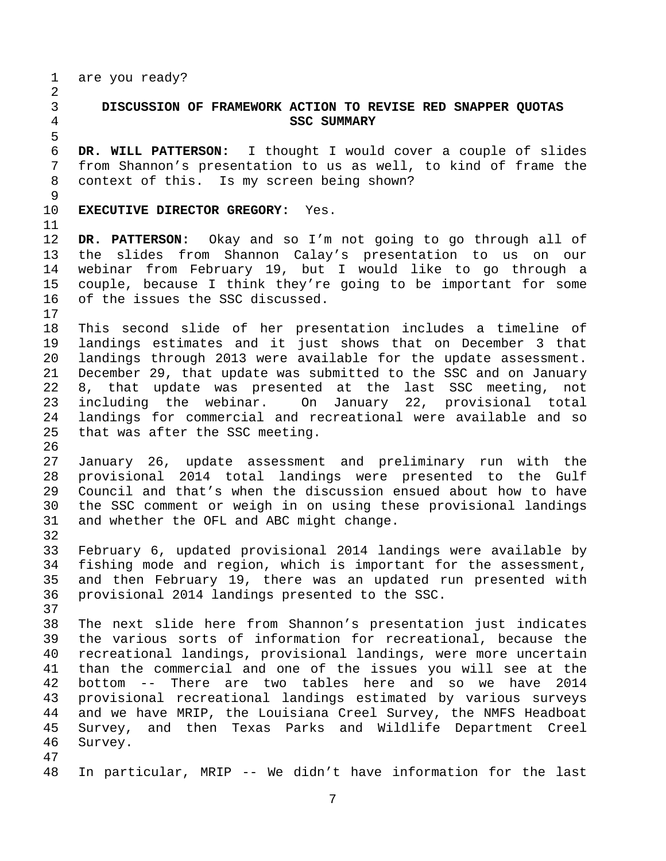1 are you ready?

5

2

## 3 **DISCUSSION OF FRAMEWORK ACTION TO REVISE RED SNAPPER QUOTAS**  4 **SSC SUMMARY**

6 **DR. WILL PATTERSON:** I thought I would cover a couple of slides 7 from Shannon's presentation to us as well, to kind of frame the 8 context of this. Is my screen being shown?

9

10 **EXECUTIVE DIRECTOR GREGORY:** Yes.

11

17

26

12 **DR. PATTERSON:** Okay and so I'm not going to go through all of 13 the slides from Shannon Calay's presentation to us on our 14 webinar from February 19, but I would like to go through a 15 couple, because I think they're going to be important for some 16 of the issues the SSC discussed.

18 This second slide of her presentation includes a timeline of 19 landings estimates and it just shows that on December 3 that 20 landings through 2013 were available for the update assessment. 21 December 29, that update was submitted to the SSC and on January 22 8, that update was presented at the last SSC meeting, not 23 including the webinar. On January 22, provisional total 24 landings for commercial and recreational were available and so 25 that was after the SSC meeting.

27 January 26, update assessment and preliminary run with the 28 provisional 2014 total landings were presented to the Gulf 29 Council and that's when the discussion ensued about how to have 30 the SSC comment or weigh in on using these provisional landings 31 and whether the OFL and ABC might change. 32

33 February 6, updated provisional 2014 landings were available by 34 fishing mode and region, which is important for the assessment, 35 and then February 19, there was an updated run presented with 36 provisional 2014 landings presented to the SSC.

38 The next slide here from Shannon's presentation just indicates 39 the various sorts of information for recreational, because the 40 recreational landings, provisional landings, were more uncertain 41 than the commercial and one of the issues you will see at the 42 bottom -- There are two tables here and so we have 2014 43 provisional recreational landings estimated by various surveys 44 and we have MRIP, the Louisiana Creel Survey, the NMFS Headboat 45 Survey, and then Texas Parks and Wildlife Department Creel 46 Survey.

47

37

48 In particular, MRIP -- We didn't have information for the last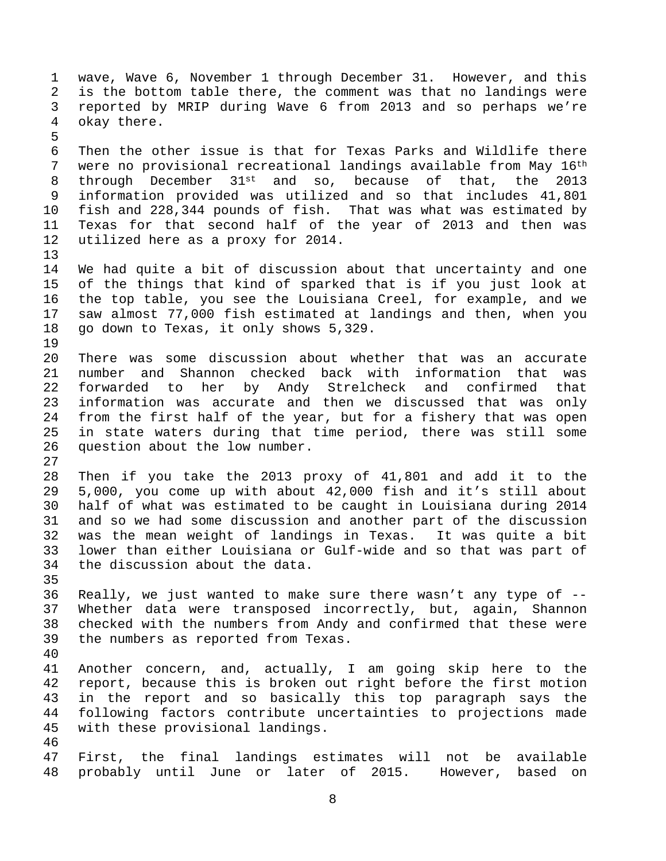1 wave, Wave 6, November 1 through December 31. However, and this 2 is the bottom table there, the comment was that no landings were 3 reported by MRIP during Wave 6 from 2013 and so perhaps we're 4 okay there. 5 6 Then the other issue is that for Texas Parks and Wildlife there 7 were no provisional recreational landings available from May 16th 8 through December 31st and so, because of that, the 2013 9 information provided was utilized and so that includes 41,801 10 fish and 228,344 pounds of fish. That was what was estimated by 11 Texas for that second half of the year of 2013 and then was 12 utilized here as a proxy for 2014. 13 14 We had quite a bit of discussion about that uncertainty and one 15 of the things that kind of sparked that is if you just look at 16 the top table, you see the Louisiana Creel, for example, and we 17 saw almost 77,000 fish estimated at landings and then, when you 18 go down to Texas, it only shows 5,329. 19 20 There was some discussion about whether that was an accurate 21 number and Shannon checked back with information that was 22 forwarded to her by Andy Strelcheck and confirmed that 23 information was accurate and then we discussed that was only 24 from the first half of the year, but for a fishery that was open 25 in state waters during that time period, there was still some 26 question about the low number. 27 28 Then if you take the 2013 proxy of 41,801 and add it to the 29 5,000, you come up with about 42,000 fish and it's still about 30 half of what was estimated to be caught in Louisiana during 2014 31 and so we had some discussion and another part of the discussion 32 was the mean weight of landings in Texas. It was quite a bit 33 lower than either Louisiana or Gulf-wide and so that was part of 34 the discussion about the data. 35 36 Really, we just wanted to make sure there wasn't any type of -- 37 Whether data were transposed incorrectly, but, again, Shannon 38 checked with the numbers from Andy and confirmed that these were 39 the numbers as reported from Texas. 40 41 Another concern, and, actually, I am going skip here to the 42 report, because this is broken out right before the first motion 43 in the report and so basically this top paragraph says the 44 following factors contribute uncertainties to projections made 45 with these provisional landings. 46 47 First, the final landings estimates will not be available 48 probably until June or later of 2015. However, based on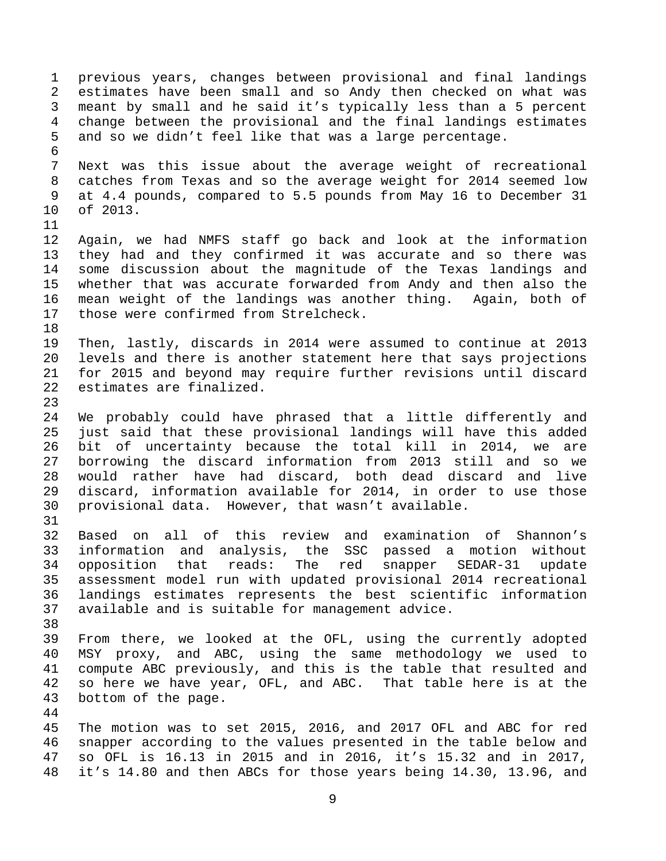1 previous years, changes between provisional and final landings 2 estimates have been small and so Andy then checked on what was 3 meant by small and he said it's typically less than a 5 percent 4 change between the provisional and the final landings estimates 5 and so we didn't feel like that was a large percentage. 6 7 Next was this issue about the average weight of recreational 8 catches from Texas and so the average weight for 2014 seemed low 9 at 4.4 pounds, compared to 5.5 pounds from May 16 to December 31 10 of 2013. 11 12 Again, we had NMFS staff go back and look at the information 13 they had and they confirmed it was accurate and so there was 14 some discussion about the magnitude of the Texas landings and 15 whether that was accurate forwarded from Andy and then also the 16 mean weight of the landings was another thing. Again, both of 17 those were confirmed from Strelcheck. 18 19 Then, lastly, discards in 2014 were assumed to continue at 2013 20 levels and there is another statement here that says projections 21 for 2015 and beyond may require further revisions until discard 22 estimates are finalized. 23 24 We probably could have phrased that a little differently and 25 just said that these provisional landings will have this added 26 bit of uncertainty because the total kill in 2014, we are 27 borrowing the discard information from 2013 still and so we 28 would rather have had discard, both dead discard and live 29 discard, information available for 2014, in order to use those 30 provisional data. However, that wasn't available. 31 32 Based on all of this review and examination of Shannon's 33 information and analysis, the SSC passed a motion without 34 opposition that reads: The red snapper SEDAR-31 update 35 assessment model run with updated provisional 2014 recreational 36 landings estimates represents the best scientific information 37 available and is suitable for management advice. 38 39 From there, we looked at the OFL, using the currently adopted 40 MSY proxy, and ABC, using the same methodology we used to 41 compute ABC previously, and this is the table that resulted and 42 so here we have year, OFL, and ABC. That table here is at the 43 bottom of the page. 44 45 The motion was to set 2015, 2016, and 2017 OFL and ABC for red 46 snapper according to the values presented in the table below and 47 so OFL is 16.13 in 2015 and in 2016, it's 15.32 and in 2017, 48 it's 14.80 and then ABCs for those years being 14.30, 13.96, and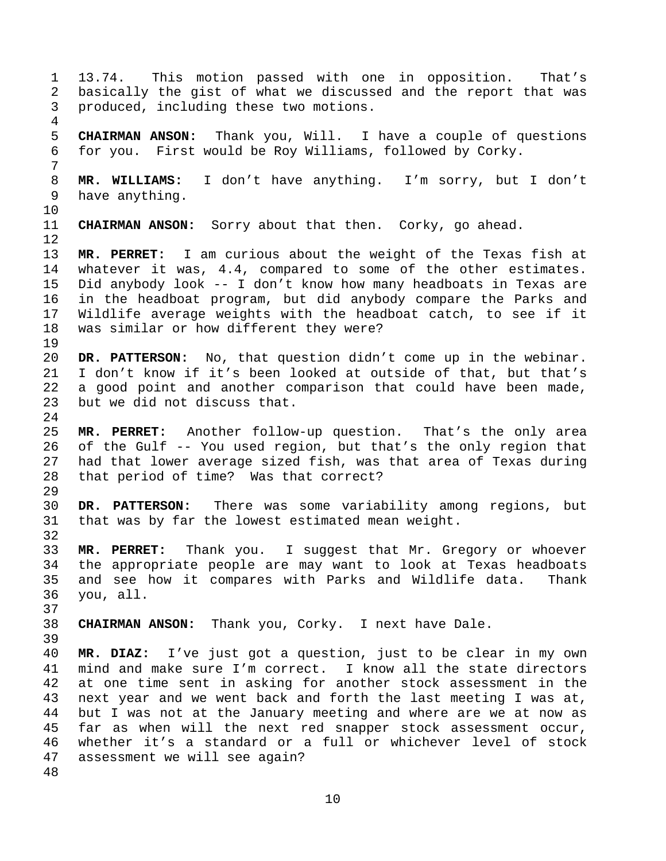1 13.74. This motion passed with one in opposition. That's 2 basically the gist of what we discussed and the report that was 3 produced, including these two motions. 4 5 **CHAIRMAN ANSON:** Thank you, Will. I have a couple of questions 6 for you. First would be Roy Williams, followed by Corky. 7 8 **MR. WILLIAMS:** I don't have anything. I'm sorry, but I don't 9 have anything. 10 11 **CHAIRMAN ANSON:** Sorry about that then. Corky, go ahead. 12 13 **MR. PERRET:** I am curious about the weight of the Texas fish at 14 whatever it was, 4.4, compared to some of the other estimates. 15 Did anybody look -- I don't know how many headboats in Texas are 16 in the headboat program, but did anybody compare the Parks and 17 Wildlife average weights with the headboat catch, to see if it 18 was similar or how different they were? 19 20 **DR. PATTERSON:** No, that question didn't come up in the webinar. 21 I don't know if it's been looked at outside of that, but that's 22 a good point and another comparison that could have been made, 23 but we did not discuss that. 24 25 **MR. PERRET:** Another follow-up question. That's the only area 26 of the Gulf -- You used region, but that's the only region that 27 had that lower average sized fish, was that area of Texas during 28 that period of time? Was that correct? 29 30 **DR. PATTERSON:** There was some variability among regions, but 31 that was by far the lowest estimated mean weight. 32 33 **MR. PERRET:** Thank you. I suggest that Mr. Gregory or whoever 34 the appropriate people are may want to look at Texas headboats 35 and see how it compares with Parks and Wildlife data. Thank 36 you, all. 37 38 **CHAIRMAN ANSON:** Thank you, Corky. I next have Dale. 39 40 **MR. DIAZ:** I've just got a question, just to be clear in my own 41 mind and make sure I'm correct. I know all the state directors 42 at one time sent in asking for another stock assessment in the 43 next year and we went back and forth the last meeting I was at, 44 but I was not at the January meeting and where are we at now as 45 far as when will the next red snapper stock assessment occur, 46 whether it's a standard or a full or whichever level of stock 47 assessment we will see again? 48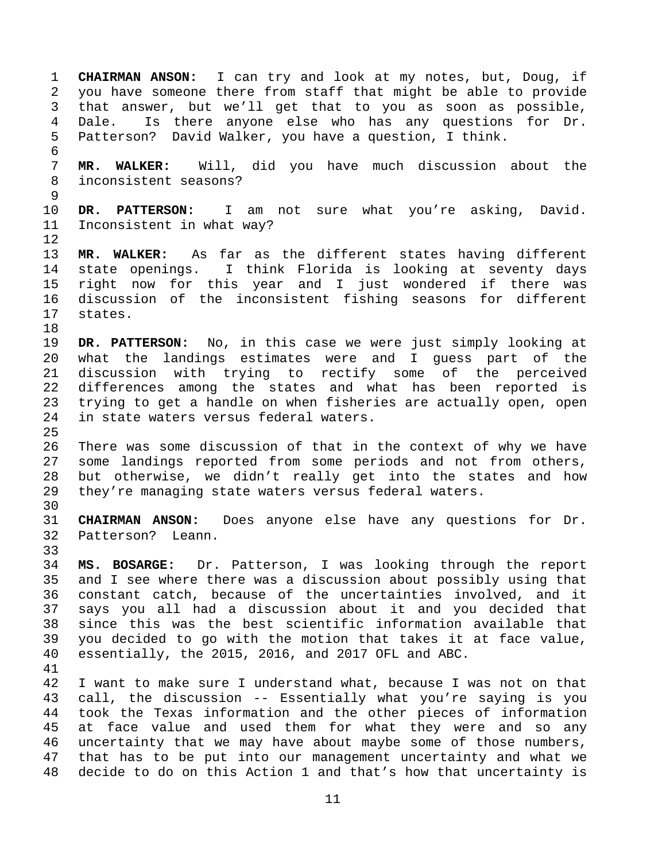1 **CHAIRMAN ANSON:** I can try and look at my notes, but, Doug, if 2 you have someone there from staff that might be able to provide 3 that answer, but we'll get that to you as soon as possible, 4 Dale. Is there anyone else who has any questions for Dr. 5 Patterson? David Walker, you have a question, I think. 6 7 **MR. WALKER:** Will, did you have much discussion about the 8 inconsistent seasons? 9 10 **DR. PATTERSON:** I am not sure what you're asking, David. 11 Inconsistent in what way? 12 13 **MR. WALKER:** As far as the different states having different 14 state openings. I think Florida is looking at seventy days 15 right now for this year and I just wondered if there was 16 discussion of the inconsistent fishing seasons for different 17 states. 18 19 **DR. PATTERSON:** No, in this case we were just simply looking at 20 what the landings estimates were and I guess part of the 21 discussion with trying to rectify some of the perceived 22 differences among the states and what has been reported is 23 trying to get a handle on when fisheries are actually open, open 24 in state waters versus federal waters. 25 26 There was some discussion of that in the context of why we have 27 some landings reported from some periods and not from others, 28 but otherwise, we didn't really get into the states and how 29 they're managing state waters versus federal waters. 30 31 **CHAIRMAN ANSON:** Does anyone else have any questions for Dr. 32 Patterson? Leann. 33 34 **MS. BOSARGE:** Dr. Patterson, I was looking through the report 35 and I see where there was a discussion about possibly using that 36 constant catch, because of the uncertainties involved, and it 37 says you all had a discussion about it and you decided that 38 since this was the best scientific information available that 39 you decided to go with the motion that takes it at face value, 40 essentially, the 2015, 2016, and 2017 OFL and ABC. 41 42 I want to make sure I understand what, because I was not on that 43 call, the discussion -- Essentially what you're saying is you 44 took the Texas information and the other pieces of information 45 at face value and used them for what they were and so any 46 uncertainty that we may have about maybe some of those numbers, 47 that has to be put into our management uncertainty and what we 48 decide to do on this Action 1 and that's how that uncertainty is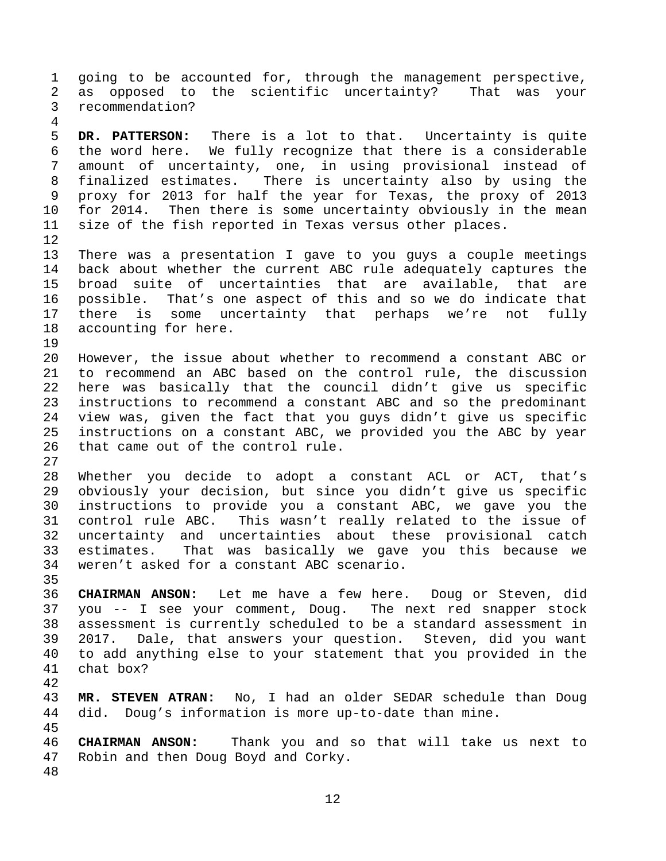1 going to be accounted for, through the management perspective, 2 as opposed to the scientific uncertainty? That was your 3 recommendation?

5 **DR. PATTERSON:** There is a lot to that. Uncertainty is quite 6 the word here. We fully recognize that there is a considerable 7 amount of uncertainty, one, in using provisional instead of 8 finalized estimates. There is uncertainty also by using the 9 proxy for 2013 for half the year for Texas, the proxy of 2013 10 for 2014. Then there is some uncertainty obviously in the mean 11 size of the fish reported in Texas versus other places. 12

13 There was a presentation I gave to you guys a couple meetings 14 back about whether the current ABC rule adequately captures the 15 broad suite of uncertainties that are available, that are 16 possible. That's one aspect of this and so we do indicate that 17 there is some uncertainty that perhaps we're not fully 18 accounting for here.

19

27

35

4

20 However, the issue about whether to recommend a constant ABC or 21 to recommend an ABC based on the control rule, the discussion 22 here was basically that the council didn't give us specific 23 instructions to recommend a constant ABC and so the predominant 24 view was, given the fact that you guys didn't give us specific 25 instructions on a constant ABC, we provided you the ABC by year 26 that came out of the control rule.

28 Whether you decide to adopt a constant ACL or ACT, that's 29 obviously your decision, but since you didn't give us specific 30 instructions to provide you a constant ABC, we gave you the 31 control rule ABC. This wasn't really related to the issue of 32 uncertainty and uncertainties about these provisional catch 33 estimates. That was basically we gave you this because we 34 weren't asked for a constant ABC scenario.

36 **CHAIRMAN ANSON:** Let me have a few here. Doug or Steven, did 37 you -- I see your comment, Doug. The next red snapper stock 38 assessment is currently scheduled to be a standard assessment in 39 2017. Dale, that answers your question. Steven, did you want 40 to add anything else to your statement that you provided in the 41 chat box?

43 **MR. STEVEN ATRAN:** No, I had an older SEDAR schedule than Doug 44 did. Doug's information is more up-to-date than mine.

45

42

46 **CHAIRMAN ANSON:** Thank you and so that will take us next to 47 Robin and then Doug Boyd and Corky.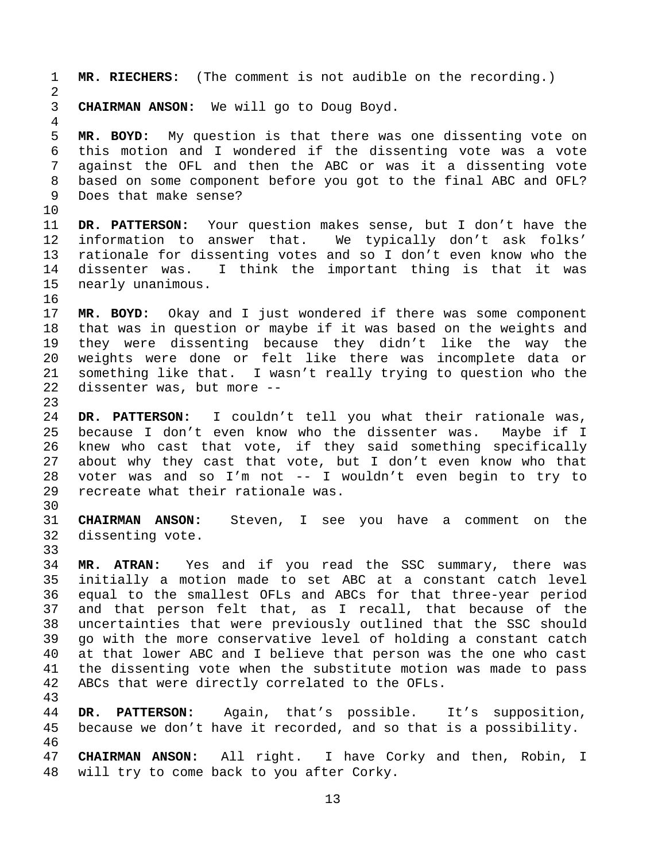1 **MR. RIECHERS:** (The comment is not audible on the recording.) 2 3 **CHAIRMAN ANSON:** We will go to Doug Boyd. 4 5 **MR. BOYD:** My question is that there was one dissenting vote on 6 this motion and I wondered if the dissenting vote was a vote 7 against the OFL and then the ABC or was it a dissenting vote 8 based on some component before you got to the final ABC and OFL? 9 Does that make sense? 10 11 **DR. PATTERSON:** Your question makes sense, but I don't have the 12 information to answer that. We typically don't ask folks' 13 rationale for dissenting votes and so I don't even know who the 14 dissenter was. I think the important thing is that it was 15 nearly unanimous. 16 17 **MR. BOYD:** Okay and I just wondered if there was some component 18 that was in question or maybe if it was based on the weights and 19 they were dissenting because they didn't like the way the 20 weights were done or felt like there was incomplete data or 21 something like that. I wasn't really trying to question who the 22 dissenter was, but more -- 23 24 **DR. PATTERSON:** I couldn't tell you what their rationale was, 25 because I don't even know who the dissenter was. Maybe if I 26 knew who cast that vote, if they said something specifically 27 about why they cast that vote, but I don't even know who that 28 voter was and so I'm not -- I wouldn't even begin to try to 29 recreate what their rationale was. 30 31 **CHAIRMAN ANSON:** Steven, I see you have a comment on the 32 dissenting vote. 33 34 **MR. ATRAN:** Yes and if you read the SSC summary, there was 35 initially a motion made to set ABC at a constant catch level 36 equal to the smallest OFLs and ABCs for that three-year period 37 and that person felt that, as I recall, that because of the 38 uncertainties that were previously outlined that the SSC should 39 go with the more conservative level of holding a constant catch 40 at that lower ABC and I believe that person was the one who cast 41 the dissenting vote when the substitute motion was made to pass 42 ABCs that were directly correlated to the OFLs. 43 44 **DR. PATTERSON:** Again, that's possible. It's supposition, 45 because we don't have it recorded, and so that is a possibility. 46 47 **CHAIRMAN ANSON:** All right. I have Corky and then, Robin, I 48 will try to come back to you after Corky.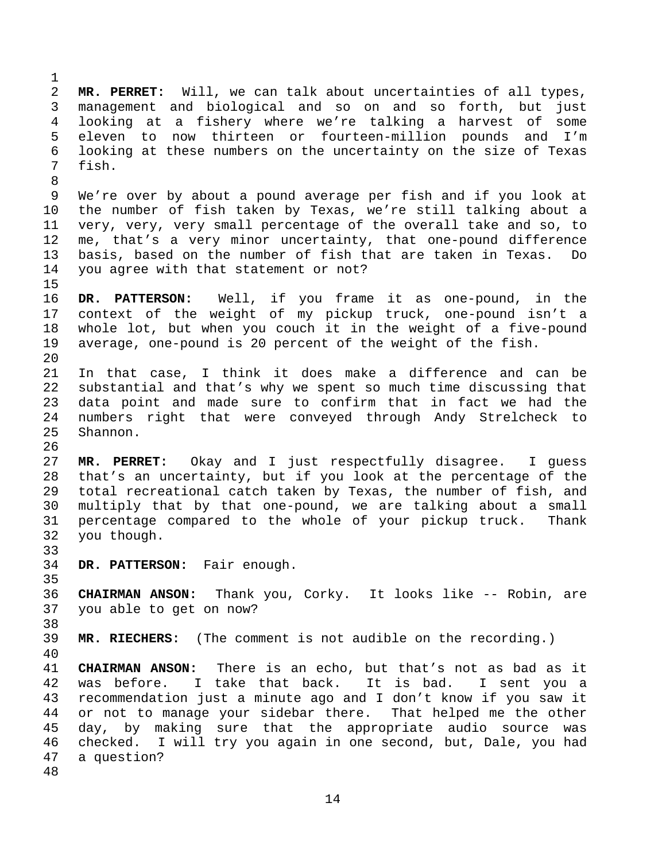2 **MR. PERRET:** Will, we can talk about uncertainties of all types, 3 management and biological and so on and so forth, but just 4 looking at a fishery where we're talking a harvest of some 5 eleven to now thirteen or fourteen-million pounds and I'm 6 looking at these numbers on the uncertainty on the size of Texas 7 fish. 8 9 We're over by about a pound average per fish and if you look at 10 the number of fish taken by Texas, we're still talking about a 11 very, very, very small percentage of the overall take and so, to 12 me, that's a very minor uncertainty, that one-pound difference 13 basis, based on the number of fish that are taken in Texas. Do 14 you agree with that statement or not? 15 16 **DR. PATTERSON:** Well, if you frame it as one-pound, in the 17 context of the weight of my pickup truck, one-pound isn't a 18 whole lot, but when you couch it in the weight of a five-pound 19 average, one-pound is 20 percent of the weight of the fish. 20 21 In that case, I think it does make a difference and can be 22 substantial and that's why we spent so much time discussing that 23 data point and made sure to confirm that in fact we had the 24 numbers right that were conveyed through Andy Strelcheck to 25 Shannon. 26 27 **MR. PERRET:** Okay and I just respectfully disagree. I guess 28 that's an uncertainty, but if you look at the percentage of the 29 total recreational catch taken by Texas, the number of fish, and 30 multiply that by that one-pound, we are talking about a small 31 percentage compared to the whole of your pickup truck. Thank 32 you though. 33 34 **DR. PATTERSON:** Fair enough. 35 36 **CHAIRMAN ANSON:** Thank you, Corky. It looks like -- Robin, are 37 you able to get on now? 38 39 **MR. RIECHERS:** (The comment is not audible on the recording.) 40 41 **CHAIRMAN ANSON:** There is an echo, but that's not as bad as it 42 was before. I take that back. It is bad. I sent you a 43 recommendation just a minute ago and I don't know if you saw it 44 or not to manage your sidebar there. That helped me the other 45 day, by making sure that the appropriate audio source was 46 checked. I will try you again in one second, but, Dale, you had 47 a question? 48

1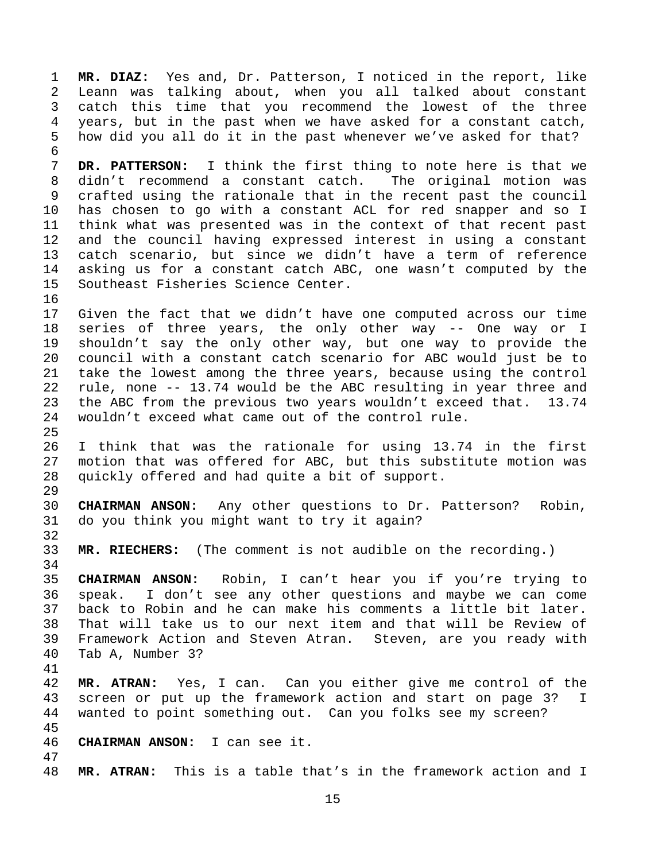1 **MR. DIAZ:** Yes and, Dr. Patterson, I noticed in the report, like 2 Leann was talking about, when you all talked about constant 3 catch this time that you recommend the lowest of the three 4 years, but in the past when we have asked for a constant catch, 5 how did you all do it in the past whenever we've asked for that? 6 7 **DR. PATTERSON:** I think the first thing to note here is that we 8 didn't recommend a constant catch. The original motion was 9 crafted using the rationale that in the recent past the council 10 has chosen to go with a constant ACL for red snapper and so I 11 think what was presented was in the context of that recent past 12 and the council having expressed interest in using a constant 13 catch scenario, but since we didn't have a term of reference 14 asking us for a constant catch ABC, one wasn't computed by the 15 Southeast Fisheries Science Center. 16 17 Given the fact that we didn't have one computed across our time 18 series of three years, the only other way -- One way or I 19 shouldn't say the only other way, but one way to provide the 20 council with a constant catch scenario for ABC would just be to 21 take the lowest among the three years, because using the control 22 rule, none -- 13.74 would be the ABC resulting in year three and 23 the ABC from the previous two years wouldn't exceed that. 13.74 24 wouldn't exceed what came out of the control rule. 25 26 I think that was the rationale for using 13.74 in the first 27 motion that was offered for ABC, but this substitute motion was 28 quickly offered and had quite a bit of support. 29 30 **CHAIRMAN ANSON:** Any other questions to Dr. Patterson? Robin, 31 do you think you might want to try it again? 32 33 **MR. RIECHERS:** (The comment is not audible on the recording.) 34 35 **CHAIRMAN ANSON:** Robin, I can't hear you if you're trying to 36 speak. I don't see any other questions and maybe we can come 37 back to Robin and he can make his comments a little bit later. 38 That will take us to our next item and that will be Review of 39 Framework Action and Steven Atran. Steven, are you ready with 40 Tab A, Number 3? 41 42 **MR. ATRAN:** Yes, I can. Can you either give me control of the 43 screen or put up the framework action and start on page 3? I 44 wanted to point something out. Can you folks see my screen? 45 46 **CHAIRMAN ANSON:** I can see it. 47 48 **MR. ATRAN:** This is a table that's in the framework action and I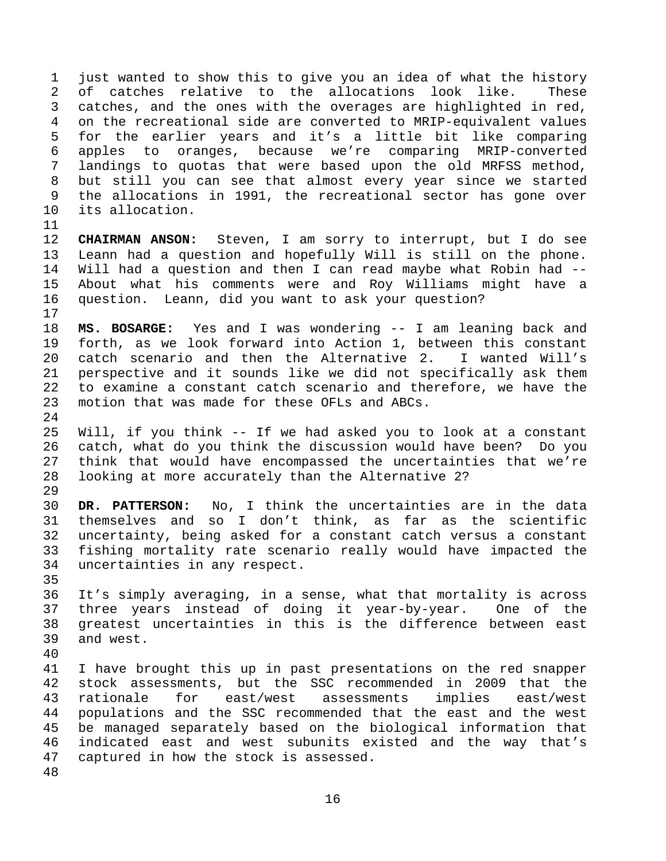1 just wanted to show this to give you an idea of what the history 2 of catches relative to the allocations look like. These 3 catches, and the ones with the overages are highlighted in red, 4 on the recreational side are converted to MRIP-equivalent values 5 for the earlier years and it's a little bit like comparing 6 apples to oranges, because we're comparing MRIP-converted 7 landings to quotas that were based upon the old MRFSS method, 8 but still you can see that almost every year since we started 9 the allocations in 1991, the recreational sector has gone over 10 its allocation.

11

17

24

12 **CHAIRMAN ANSON:** Steven, I am sorry to interrupt, but I do see 13 Leann had a question and hopefully Will is still on the phone. 14 Will had a question and then I can read maybe what Robin had -- 15 About what his comments were and Roy Williams might have a 16 question. Leann, did you want to ask your question?

18 **MS. BOSARGE:** Yes and I was wondering -- I am leaning back and 19 forth, as we look forward into Action 1, between this constant 20 catch scenario and then the Alternative 2. I wanted Will's 21 perspective and it sounds like we did not specifically ask them 22 to examine a constant catch scenario and therefore, we have the 23 motion that was made for these OFLs and ABCs.

25 Will, if you think -- If we had asked you to look at a constant 26 catch, what do you think the discussion would have been? Do you 27 think that would have encompassed the uncertainties that we're 28 looking at more accurately than the Alternative 2? 29

30 **DR. PATTERSON:** No, I think the uncertainties are in the data 31 themselves and so I don't think, as far as the scientific 32 uncertainty, being asked for a constant catch versus a constant 33 fishing mortality rate scenario really would have impacted the 34 uncertainties in any respect.

36 It's simply averaging, in a sense, what that mortality is across 37 three years instead of doing it year-by-year. One of the 38 greatest uncertainties in this is the difference between east 39 and west.

40

35

41 I have brought this up in past presentations on the red snapper 42 stock assessments, but the SSC recommended in 2009 that the 43 rationale for east/west assessments implies east/west 44 populations and the SSC recommended that the east and the west 45 be managed separately based on the biological information that 46 indicated east and west subunits existed and the way that's 47 captured in how the stock is assessed.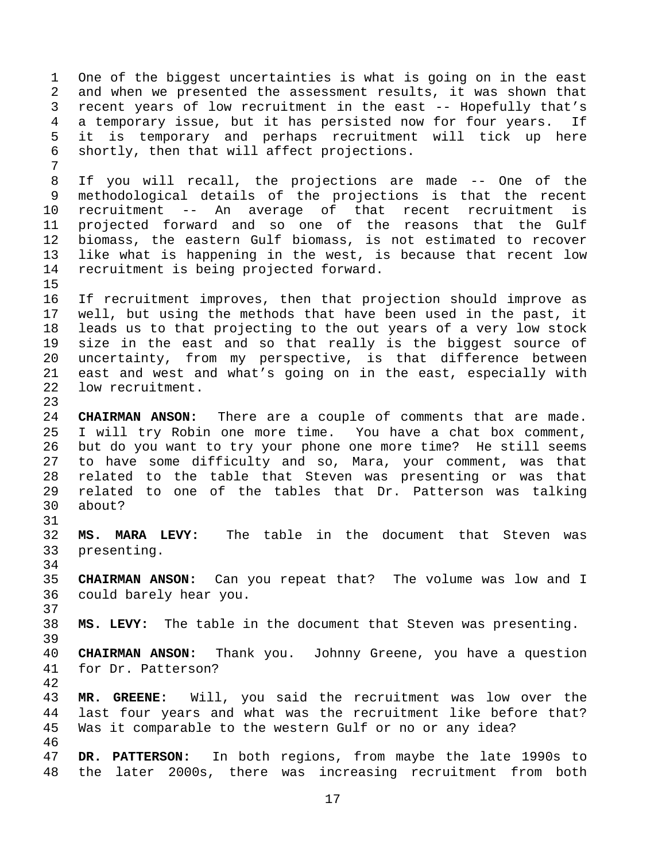1 One of the biggest uncertainties is what is going on in the east 2 and when we presented the assessment results, it was shown that 3 recent years of low recruitment in the east -- Hopefully that's 4 a temporary issue, but it has persisted now for four years. If 5 it is temporary and perhaps recruitment will tick up here 6 shortly, then that will affect projections. 7 8 If you will recall, the projections are made -- One of the 9 methodological details of the projections is that the recent 10 recruitment -- An average of that recent recruitment is 11 projected forward and so one of the reasons that the Gulf 12 biomass, the eastern Gulf biomass, is not estimated to recover 13 like what is happening in the west, is because that recent low 14 recruitment is being projected forward. 15 16 If recruitment improves, then that projection should improve as 17 well, but using the methods that have been used in the past, it 18 leads us to that projecting to the out years of a very low stock 19 size in the east and so that really is the biggest source of 20 uncertainty, from my perspective, is that difference between 21 east and west and what's going on in the east, especially with 22 low recruitment. 23 24 **CHAIRMAN ANSON:** There are a couple of comments that are made. 25 I will try Robin one more time. You have a chat box comment, 26 but do you want to try your phone one more time? He still seems 27 to have some difficulty and so, Mara, your comment, was that 28 related to the table that Steven was presenting or was that 29 related to one of the tables that Dr. Patterson was talking 30 about? 31 32 **MS. MARA LEVY:** The table in the document that Steven was 33 presenting. 34 35 **CHAIRMAN ANSON:** Can you repeat that? The volume was low and I 36 could barely hear you. 37 38 **MS. LEVY:** The table in the document that Steven was presenting. 39 40 **CHAIRMAN ANSON:** Thank you. Johnny Greene, you have a question 41 for Dr. Patterson? 42 43 **MR. GREENE:** Will, you said the recruitment was low over the 44 last four years and what was the recruitment like before that? 45 Was it comparable to the western Gulf or no or any idea? 46 47 **DR. PATTERSON:** In both regions, from maybe the late 1990s to 48 the later 2000s, there was increasing recruitment from both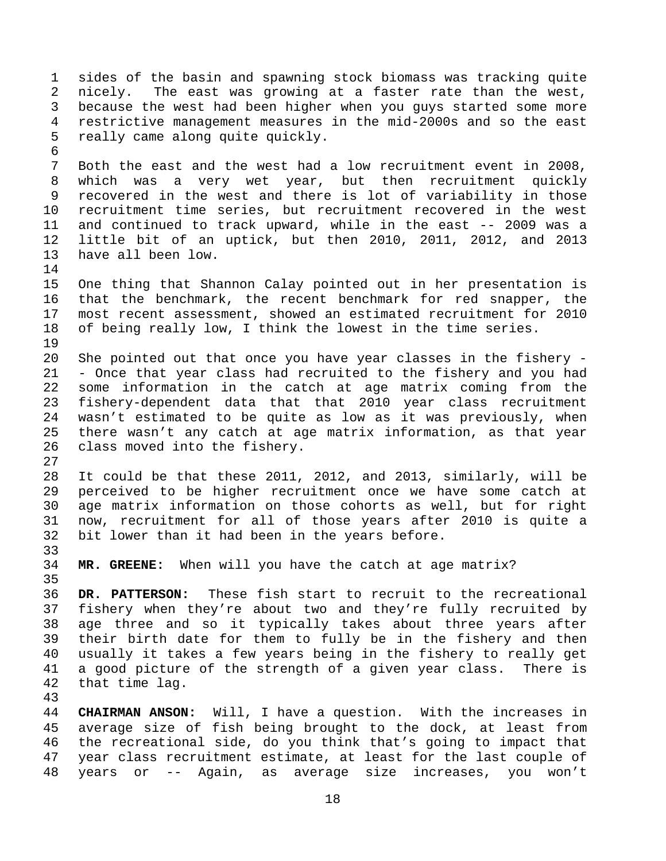1 sides of the basin and spawning stock biomass was tracking quite 2 nicely. The east was growing at a faster rate than the west, 3 because the west had been higher when you guys started some more 4 restrictive management measures in the mid-2000s and so the east 5 really came along quite quickly. 6 7 Both the east and the west had a low recruitment event in 2008, 8 which was a very wet year, but then recruitment quickly 9 recovered in the west and there is lot of variability in those 10 recruitment time series, but recruitment recovered in the west 11 and continued to track upward, while in the east -- 2009 was a 12 little bit of an uptick, but then 2010, 2011, 2012, and 2013 13 have all been low. 14 15 One thing that Shannon Calay pointed out in her presentation is 16 that the benchmark, the recent benchmark for red snapper, the 17 most recent assessment, showed an estimated recruitment for 2010 18 of being really low, I think the lowest in the time series. 19 20 She pointed out that once you have year classes in the fishery - 21 - Once that year class had recruited to the fishery and you had 22 some information in the catch at age matrix coming from the 23 fishery-dependent data that that 2010 year class recruitment 24 wasn't estimated to be quite as low as it was previously, when 25 there wasn't any catch at age matrix information, as that year 26 class moved into the fishery. 27 28 It could be that these 2011, 2012, and 2013, similarly, will be 29 perceived to be higher recruitment once we have some catch at 30 age matrix information on those cohorts as well, but for right 31 now, recruitment for all of those years after 2010 is quite a 32 bit lower than it had been in the years before. 33 34 **MR. GREENE:** When will you have the catch at age matrix? 35 36 **DR. PATTERSON:** These fish start to recruit to the recreational 37 fishery when they're about two and they're fully recruited by 38 age three and so it typically takes about three years after 39 their birth date for them to fully be in the fishery and then 40 usually it takes a few years being in the fishery to really get 41 a good picture of the strength of a given year class. There is 42 that time lag. 43 44 **CHAIRMAN ANSON:** Will, I have a question. With the increases in 45 average size of fish being brought to the dock, at least from 46 the recreational side, do you think that's going to impact that 47 year class recruitment estimate, at least for the last couple of

18

48 years or -- Again, as average size increases, you won't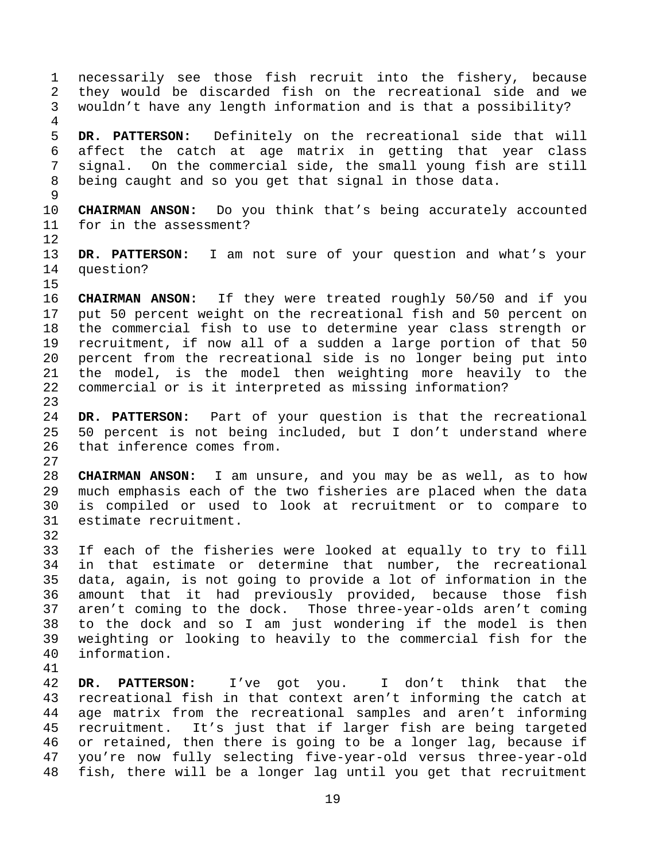1 necessarily see those fish recruit into the fishery, because 2 they would be discarded fish on the recreational side and we 3 wouldn't have any length information and is that a possibility? 4 5 **DR. PATTERSON:** Definitely on the recreational side that will 6 affect the catch at age matrix in getting that year class 7 signal. On the commercial side, the small young fish are still 8 being caught and so you get that signal in those data. 9 10 **CHAIRMAN ANSON:** Do you think that's being accurately accounted 11 for in the assessment? 12 13 **DR. PATTERSON:** I am not sure of your question and what's your 14 question? 15 16 **CHAIRMAN ANSON:** If they were treated roughly 50/50 and if you 17 put 50 percent weight on the recreational fish and 50 percent on 18 the commercial fish to use to determine year class strength or 19 recruitment, if now all of a sudden a large portion of that 50 20 percent from the recreational side is no longer being put into 21 the model, is the model then weighting more heavily to the 22 commercial or is it interpreted as missing information? 23 24 **DR. PATTERSON:** Part of your question is that the recreational 25 50 percent is not being included, but I don't understand where 26 that inference comes from. 27 28 **CHAIRMAN ANSON:** I am unsure, and you may be as well, as to how 29 much emphasis each of the two fisheries are placed when the data 30 is compiled or used to look at recruitment or to compare to 31 estimate recruitment. 32 33 If each of the fisheries were looked at equally to try to fill 34 in that estimate or determine that number, the recreational 35 data, again, is not going to provide a lot of information in the 36 amount that it had previously provided, because those fish 37 aren't coming to the dock. Those three-year-olds aren't coming 38 to the dock and so I am just wondering if the model is then 39 weighting or looking to heavily to the commercial fish for the 40 information. 41 42 **DR. PATTERSON:** I've got you. I don't think that the 43 recreational fish in that context aren't informing the catch at 44 age matrix from the recreational samples and aren't informing 45 recruitment. It's just that if larger fish are being targeted 46 or retained, then there is going to be a longer lag, because if

19

47 you're now fully selecting five-year-old versus three-year-old 48 fish, there will be a longer lag until you get that recruitment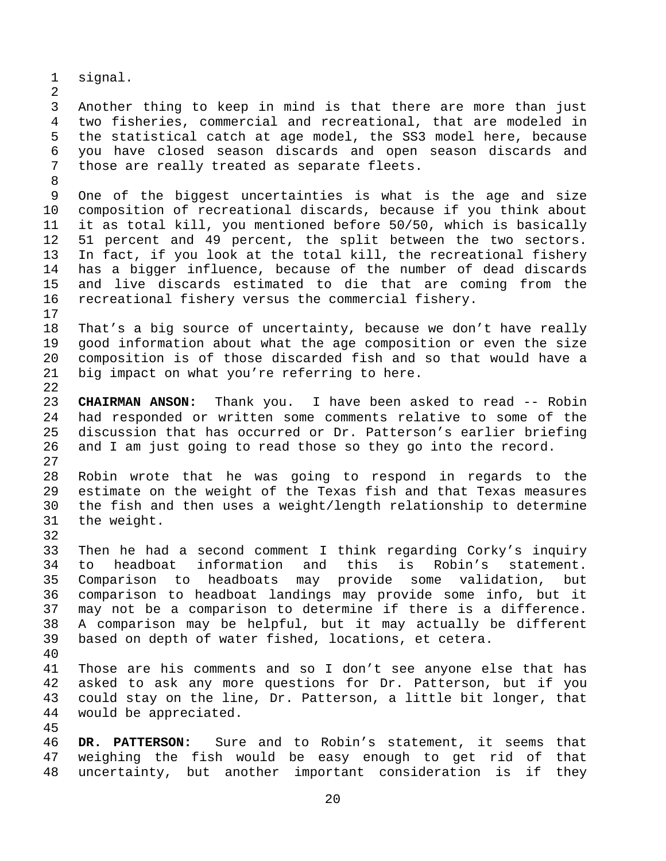1 signal.

2

8

17

3 Another thing to keep in mind is that there are more than just 4 two fisheries, commercial and recreational, that are modeled in 5 the statistical catch at age model, the SS3 model here, because 6 you have closed season discards and open season discards and 7 those are really treated as separate fleets.

9 One of the biggest uncertainties is what is the age and size 10 composition of recreational discards, because if you think about 11 it as total kill, you mentioned before 50/50, which is basically 12 51 percent and 49 percent, the split between the two sectors. 13 In fact, if you look at the total kill, the recreational fishery 14 has a bigger influence, because of the number of dead discards 15 and live discards estimated to die that are coming from the 16 recreational fishery versus the commercial fishery.

18 That's a big source of uncertainty, because we don't have really 19 good information about what the age composition or even the size 20 composition is of those discarded fish and so that would have a 21 big impact on what you're referring to here. 22

23 **CHAIRMAN ANSON:** Thank you. I have been asked to read -- Robin 24 had responded or written some comments relative to some of the 25 discussion that has occurred or Dr. Patterson's earlier briefing 26 and I am just going to read those so they go into the record. 27

28 Robin wrote that he was going to respond in regards to the 29 estimate on the weight of the Texas fish and that Texas measures 30 the fish and then uses a weight/length relationship to determine 31 the weight.

33 Then he had a second comment I think regarding Corky's inquiry 34 to headboat information and this is Robin's statement. 35 Comparison to headboats may provide some validation, but 36 comparison to headboat landings may provide some info, but it 37 may not be a comparison to determine if there is a difference. 38 A comparison may be helpful, but it may actually be different 39 based on depth of water fished, locations, et cetera.

40

32

41 Those are his comments and so I don't see anyone else that has 42 asked to ask any more questions for Dr. Patterson, but if you 43 could stay on the line, Dr. Patterson, a little bit longer, that 44 would be appreciated.

45

46 **DR. PATTERSON:** Sure and to Robin's statement, it seems that 47 weighing the fish would be easy enough to get rid of that 48 uncertainty, but another important consideration is if they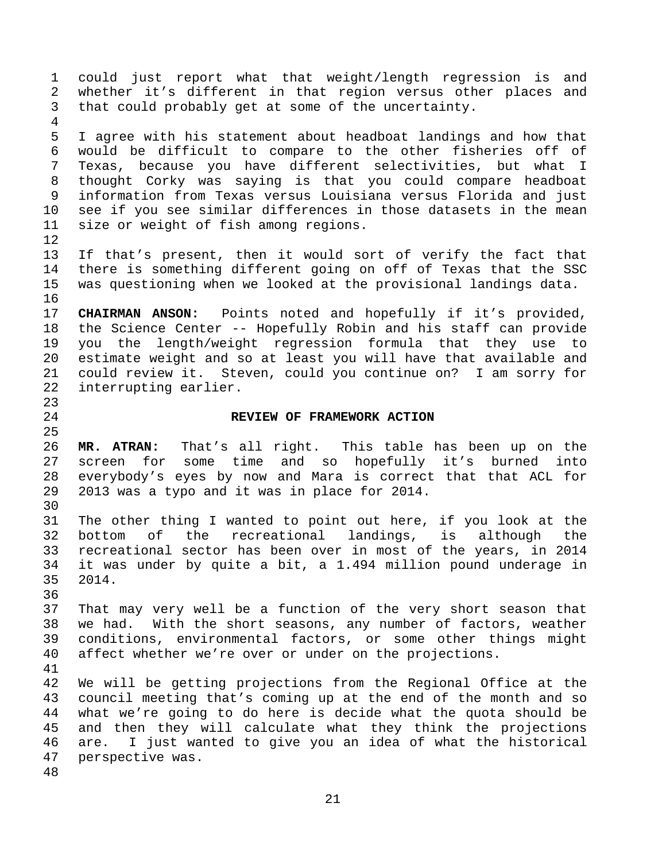1 could just report what that weight/length regression is and 2 whether it's different in that region versus other places and 3 that could probably get at some of the uncertainty. 4 5 I agree with his statement about headboat landings and how that 6 would be difficult to compare to the other fisheries off of 7 Texas, because you have different selectivities, but what I 8 thought Corky was saying is that you could compare headboat 9 information from Texas versus Louisiana versus Florida and just 10 see if you see similar differences in those datasets in the mean 11 size or weight of fish among regions. 12 13 If that's present, then it would sort of verify the fact that 14 there is something different going on off of Texas that the SSC 15 was questioning when we looked at the provisional landings data. 16 17 **CHAIRMAN ANSON:** Points noted and hopefully if it's provided, 18 the Science Center -- Hopefully Robin and his staff can provide 19 you the length/weight regression formula that they use to 20 estimate weight and so at least you will have that available and 21 could review it. Steven, could you continue on? I am sorry for 22 interrupting earlier. 23 24 **REVIEW OF FRAMEWORK ACTION**  25 26 **MR. ATRAN:** That's all right. This table has been up on the 27 screen for some time and so hopefully it's burned into 28 everybody's eyes by now and Mara is correct that that ACL for 29 2013 was a typo and it was in place for 2014. 30 31 The other thing I wanted to point out here, if you look at the 32 bottom of the recreational landings, is although the 33 recreational sector has been over in most of the years, in 2014 34 it was under by quite a bit, a 1.494 million pound underage in 35 2014. 36 37 That may very well be a function of the very short season that 38 we had. With the short seasons, any number of factors, weather 39 conditions, environmental factors, or some other things might 40 affect whether we're over or under on the projections. 41 42 We will be getting projections from the Regional Office at the 43 council meeting that's coming up at the end of the month and so 44 what we're going to do here is decide what the quota should be 45 and then they will calculate what they think the projections 46 are. I just wanted to give you an idea of what the historical 47 perspective was. 48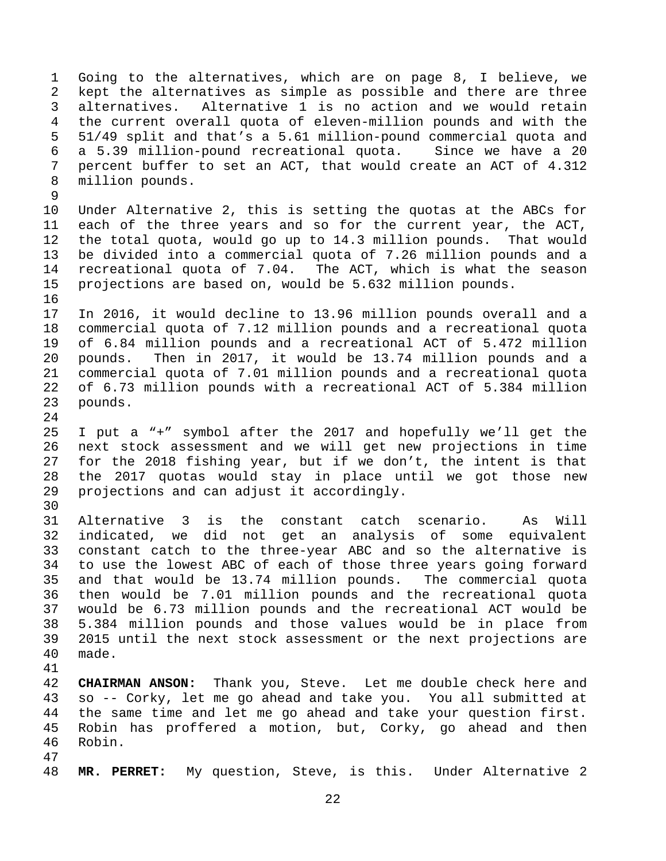1 Going to the alternatives, which are on page 8, I believe, we 2 kept the alternatives as simple as possible and there are three 3 alternatives. Alternative 1 is no action and we would retain 4 the current overall quota of eleven-million pounds and with the 5 51/49 split and that's a 5.61 million-pound commercial quota and 6 a 5.39 million-pound recreational quota. Since we have a 20 7 percent buffer to set an ACT, that would create an ACT of 4.312 8 million pounds. 9

10 Under Alternative 2, this is setting the quotas at the ABCs for 11 each of the three years and so for the current year, the ACT, 12 the total quota, would go up to 14.3 million pounds. That would 13 be divided into a commercial quota of 7.26 million pounds and a 14 recreational quota of 7.04. The ACT, which is what the season 15 projections are based on, would be 5.632 million pounds. 16

17 In 2016, it would decline to 13.96 million pounds overall and a 18 commercial quota of 7.12 million pounds and a recreational quota 19 of 6.84 million pounds and a recreational ACT of 5.472 million 20 pounds. Then in 2017, it would be 13.74 million pounds and a 21 commercial quota of 7.01 million pounds and a recreational quota 22 of 6.73 million pounds with a recreational ACT of 5.384 million 23 pounds.

25 I put a "+" symbol after the 2017 and hopefully we'll get the 26 next stock assessment and we will get new projections in time 27 for the 2018 fishing year, but if we don't, the intent is that 28 the 2017 quotas would stay in place until we got those new 29 projections and can adjust it accordingly.

24

30

41

47

31 Alternative 3 is the constant catch scenario. As Will 32 indicated, we did not get an analysis of some equivalent 33 constant catch to the three-year ABC and so the alternative is 34 to use the lowest ABC of each of those three years going forward 35 and that would be 13.74 million pounds. The commercial quota 36 then would be 7.01 million pounds and the recreational quota 37 would be 6.73 million pounds and the recreational ACT would be 38 5.384 million pounds and those values would be in place from 39 2015 until the next stock assessment or the next projections are 40 made.

42 **CHAIRMAN ANSON:** Thank you, Steve. Let me double check here and 43 so -- Corky, let me go ahead and take you. You all submitted at 44 the same time and let me go ahead and take your question first. 45 Robin has proffered a motion, but, Corky, go ahead and then 46 Robin.

48 **MR. PERRET:** My question, Steve, is this. Under Alternative 2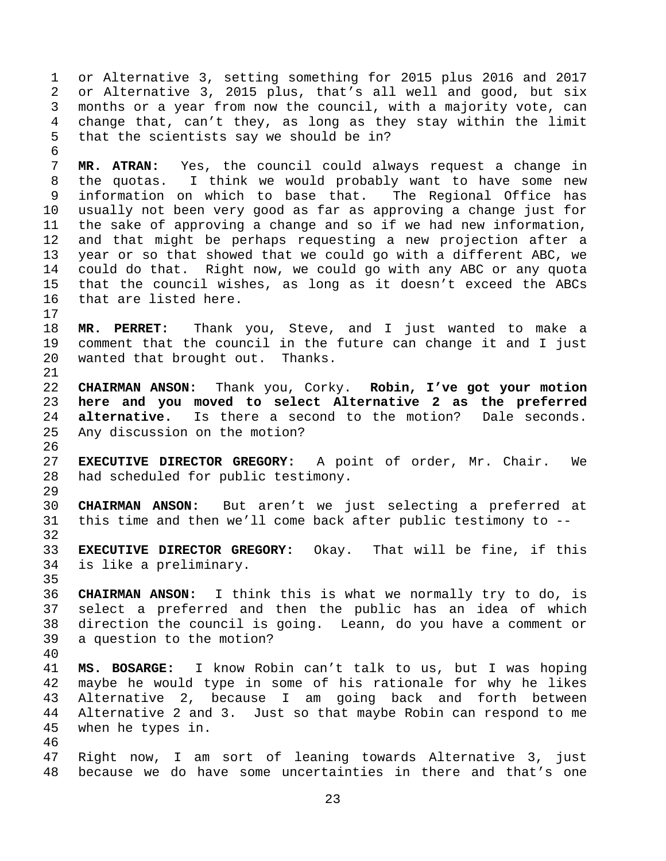1 or Alternative 3, setting something for 2015 plus 2016 and 2017 2 or Alternative 3, 2015 plus, that's all well and good, but six 3 months or a year from now the council, with a majority vote, can 4 change that, can't they, as long as they stay within the limit 5 that the scientists say we should be in? 6 7 **MR. ATRAN:** Yes, the council could always request a change in 8 the quotas. I think we would probably want to have some new 9 information on which to base that. The Regional Office has 10 usually not been very good as far as approving a change just for 11 the sake of approving a change and so if we had new information, 12 and that might be perhaps requesting a new projection after a 13 year or so that showed that we could go with a different ABC, we 14 could do that. Right now, we could go with any ABC or any quota 15 that the council wishes, as long as it doesn't exceed the ABCs 16 that are listed here. 17 18 **MR. PERRET:** Thank you, Steve, and I just wanted to make a 19 comment that the council in the future can change it and I just 20 wanted that brought out. Thanks. 21 22 **CHAIRMAN ANSON:** Thank you, Corky. **Robin, I've got your motion**  23 **here and you moved to select Alternative 2 as the preferred**  24 **alternative.** Is there a second to the motion? Dale seconds. 25 Any discussion on the motion? 26 27 **EXECUTIVE DIRECTOR GREGORY:** A point of order, Mr. Chair. We 28 had scheduled for public testimony. 29 30 **CHAIRMAN ANSON:** But aren't we just selecting a preferred at 31 this time and then we'll come back after public testimony to -- 32 33 **EXECUTIVE DIRECTOR GREGORY:** Okay. That will be fine, if this 34 is like a preliminary. 35 36 **CHAIRMAN ANSON:** I think this is what we normally try to do, is 37 select a preferred and then the public has an idea of which 38 direction the council is going. Leann, do you have a comment or 39 a question to the motion? 40 41 **MS. BOSARGE:** I know Robin can't talk to us, but I was hoping 42 maybe he would type in some of his rationale for why he likes 43 Alternative 2, because I am going back and forth between 44 Alternative 2 and 3. Just so that maybe Robin can respond to me 45 when he types in. 46 47 Right now, I am sort of leaning towards Alternative 3, just 48 because we do have some uncertainties in there and that's one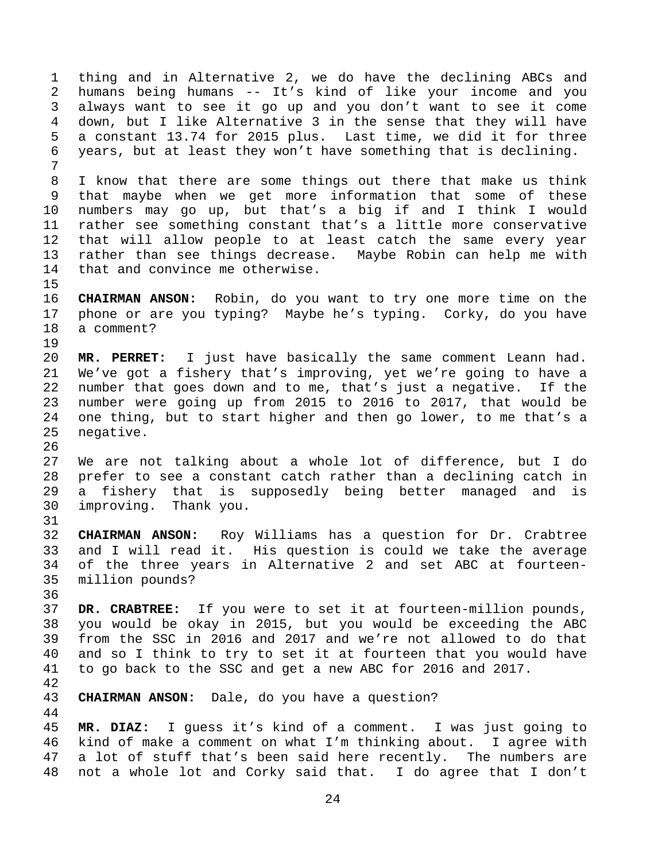1 thing and in Alternative 2, we do have the declining ABCs and 2 humans being humans -- It's kind of like your income and you 3 always want to see it go up and you don't want to see it come 4 down, but I like Alternative 3 in the sense that they will have 5 a constant 13.74 for 2015 plus. Last time, we did it for three 6 years, but at least they won't have something that is declining. 7 8 I know that there are some things out there that make us think 9 that maybe when we get more information that some of these 10 numbers may go up, but that's a big if and I think I would 11 rather see something constant that's a little more conservative 12 that will allow people to at least catch the same every year 13 rather than see things decrease. Maybe Robin can help me with 14 that and convince me otherwise. 15 16 **CHAIRMAN ANSON:** Robin, do you want to try one more time on the 17 phone or are you typing? Maybe he's typing. Corky, do you have 18 a comment? 19 20 **MR. PERRET:** I just have basically the same comment Leann had. 21 We've got a fishery that's improving, yet we're going to have a 22 number that goes down and to me, that's just a negative. If the 23 number were going up from 2015 to 2016 to 2017, that would be 24 one thing, but to start higher and then go lower, to me that's a 25 negative. 26 27 We are not talking about a whole lot of difference, but I do 28 prefer to see a constant catch rather than a declining catch in 29 a fishery that is supposedly being better managed and is 30 improving. Thank you. 31 32 **CHAIRMAN ANSON:** Roy Williams has a question for Dr. Crabtree 33 and I will read it. His question is could we take the average 34 of the three years in Alternative 2 and set ABC at fourteen-35 million pounds? 36 37 **DR. CRABTREE:** If you were to set it at fourteen-million pounds, 38 you would be okay in 2015, but you would be exceeding the ABC 39 from the SSC in 2016 and 2017 and we're not allowed to do that 40 and so I think to try to set it at fourteen that you would have 41 to go back to the SSC and get a new ABC for 2016 and 2017. 42 43 **CHAIRMAN ANSON:** Dale, do you have a question? 44 45 **MR. DIAZ:** I guess it's kind of a comment. I was just going to 46 kind of make a comment on what I'm thinking about. I agree with 47 a lot of stuff that's been said here recently. The numbers are

48 not a whole lot and Corky said that. I do agree that I don't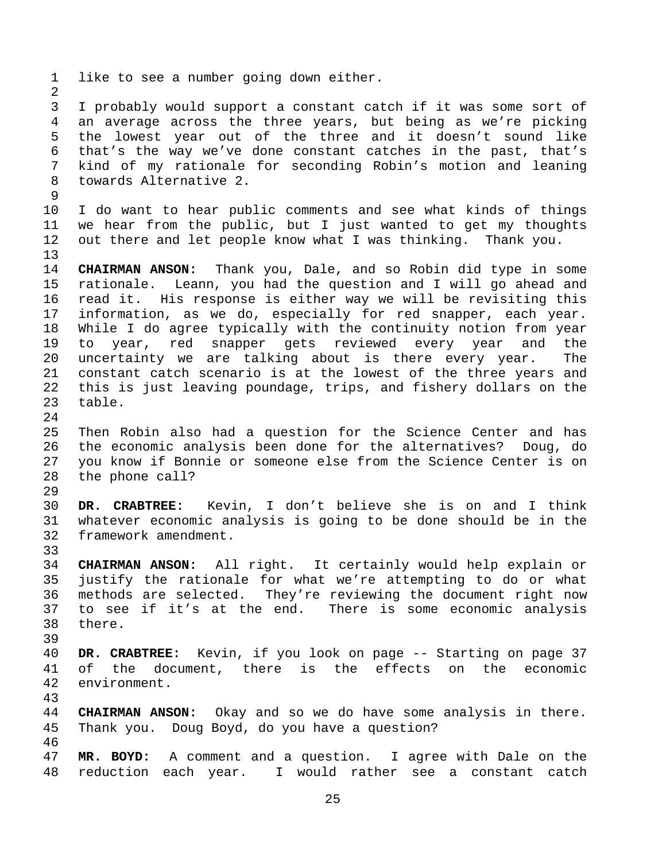1 like to see a number going down either. 2 3 I probably would support a constant catch if it was some sort of 4 an average across the three years, but being as we're picking 5 the lowest year out of the three and it doesn't sound like 6 that's the way we've done constant catches in the past, that's 7 kind of my rationale for seconding Robin's motion and leaning 8 towards Alternative 2. 9 10 I do want to hear public comments and see what kinds of things 11 we hear from the public, but I just wanted to get my thoughts 12 out there and let people know what I was thinking. Thank you. 13 14 **CHAIRMAN ANSON:** Thank you, Dale, and so Robin did type in some 15 rationale. Leann, you had the question and I will go ahead and 16 read it. His response is either way we will be revisiting this 17 information, as we do, especially for red snapper, each year. 18 While I do agree typically with the continuity notion from year 19 to year, red snapper gets reviewed every year and the 20 uncertainty we are talking about is there every year. The 21 constant catch scenario is at the lowest of the three years and 22 this is just leaving poundage, trips, and fishery dollars on the 23 table. 24 25 Then Robin also had a question for the Science Center and has 26 the economic analysis been done for the alternatives? Doug, do 27 you know if Bonnie or someone else from the Science Center is on 28 the phone call? 29 30 **DR. CRABTREE:** Kevin, I don't believe she is on and I think 31 whatever economic analysis is going to be done should be in the 32 framework amendment. 33 34 **CHAIRMAN ANSON:** All right. It certainly would help explain or 35 justify the rationale for what we're attempting to do or what 36 methods are selected. They're reviewing the document right now 37 to see if it's at the end. There is some economic analysis 38 there. 39 40 **DR. CRABTREE:** Kevin, if you look on page -- Starting on page 37 41 of the document, there is the effects on the economic 42 environment. 43 44 **CHAIRMAN ANSON:** Okay and so we do have some analysis in there. 45 Thank you. Doug Boyd, do you have a question? 46 47 **MR. BOYD:** A comment and a question. I agree with Dale on the 48 reduction each year. I would rather see a constant catch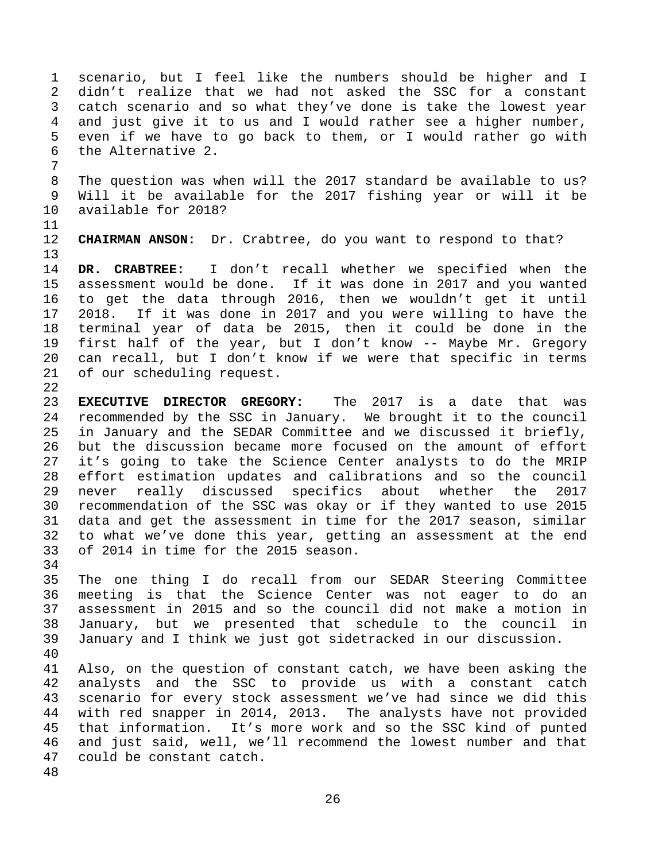1 scenario, but I feel like the numbers should be higher and I 2 didn't realize that we had not asked the SSC for a constant 3 catch scenario and so what they've done is take the lowest year 4 and just give it to us and I would rather see a higher number, 5 even if we have to go back to them, or I would rather go with 6 the Alternative 2. 7

8 The question was when will the 2017 standard be available to us? 9 Will it be available for the 2017 fishing year or will it be 10 available for 2018?

11

13

12 **CHAIRMAN ANSON:** Dr. Crabtree, do you want to respond to that?

14 **DR. CRABTREE:** I don't recall whether we specified when the 15 assessment would be done. If it was done in 2017 and you wanted 16 to get the data through 2016, then we wouldn't get it until 17 2018. If it was done in 2017 and you were willing to have the 18 terminal year of data be 2015, then it could be done in the 19 first half of the year, but I don't know -- Maybe Mr. Gregory 20 can recall, but I don't know if we were that specific in terms 21 of our scheduling request. 22

23 **EXECUTIVE DIRECTOR GREGORY:** The 2017 is a date that was 24 recommended by the SSC in January. We brought it to the council 25 in January and the SEDAR Committee and we discussed it briefly, 26 but the discussion became more focused on the amount of effort 27 it's going to take the Science Center analysts to do the MRIP 28 effort estimation updates and calibrations and so the council 29 never really discussed specifics about whether the 2017 30 recommendation of the SSC was okay or if they wanted to use 2015 31 data and get the assessment in time for the 2017 season, similar 32 to what we've done this year, getting an assessment at the end 33 of 2014 in time for the 2015 season.

34

35 The one thing I do recall from our SEDAR Steering Committee 36 meeting is that the Science Center was not eager to do an 37 assessment in 2015 and so the council did not make a motion in 38 January, but we presented that schedule to the council in 39 January and I think we just got sidetracked in our discussion.

40

41 Also, on the question of constant catch, we have been asking the 42 analysts and the SSC to provide us with a constant catch 43 scenario for every stock assessment we've had since we did this 44 with red snapper in 2014, 2013. The analysts have not provided 45 that information. It's more work and so the SSC kind of punted 46 and just said, well, we'll recommend the lowest number and that 47 could be constant catch.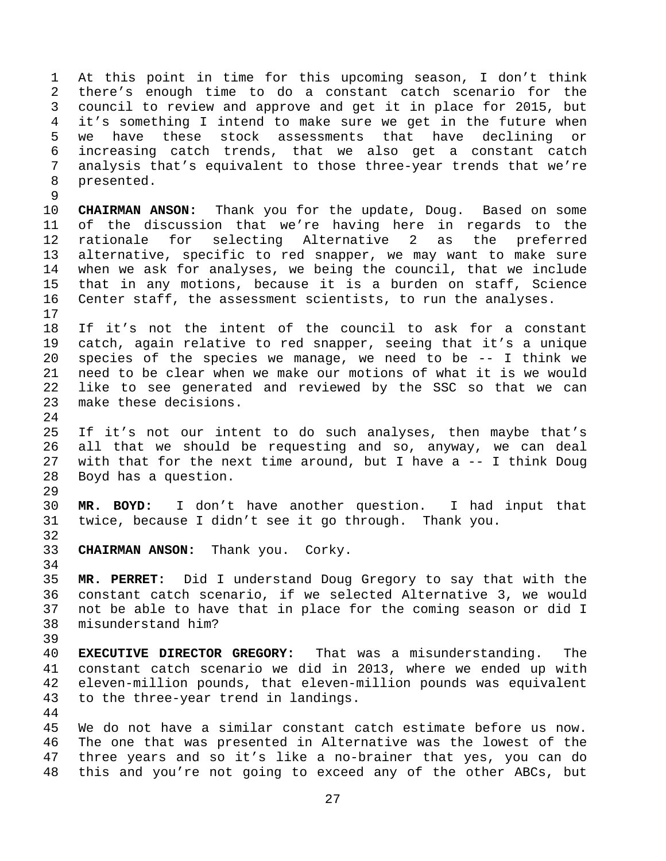1 At this point in time for this upcoming season, I don't think 2 there's enough time to do a constant catch scenario for the 3 council to review and approve and get it in place for 2015, but 4 it's something I intend to make sure we get in the future when 5 we have these stock assessments that have declining or 6 increasing catch trends, that we also get a constant catch 7 analysis that's equivalent to those three-year trends that we're 8 presented.

10 **CHAIRMAN ANSON:** Thank you for the update, Doug. Based on some 11 of the discussion that we're having here in regards to the 12 rationale for selecting Alternative 2 as the preferred 13 alternative, specific to red snapper, we may want to make sure 14 when we ask for analyses, we being the council, that we include 15 that in any motions, because it is a burden on staff, Science 16 Center staff, the assessment scientists, to run the analyses. 17

18 If it's not the intent of the council to ask for a constant 19 catch, again relative to red snapper, seeing that it's a unique 20 species of the species we manage, we need to be -- I think we 21 need to be clear when we make our motions of what it is we would 22 like to see generated and reviewed by the SSC so that we can 23 make these decisions.

25 If it's not our intent to do such analyses, then maybe that's 26 all that we should be requesting and so, anyway, we can deal 27 with that for the next time around, but I have a -- I think Doug 28 Boyd has a question.

30 **MR. BOYD:** I don't have another question. I had input that 31 twice, because I didn't see it go through. Thank you.

33 **CHAIRMAN ANSON:** Thank you. Corky.

9

24

29

32

34

39

44

35 **MR. PERRET:** Did I understand Doug Gregory to say that with the 36 constant catch scenario, if we selected Alternative 3, we would 37 not be able to have that in place for the coming season or did I 38 misunderstand him?

40 **EXECUTIVE DIRECTOR GREGORY:** That was a misunderstanding. The 41 constant catch scenario we did in 2013, where we ended up with 42 eleven-million pounds, that eleven-million pounds was equivalent 43 to the three-year trend in landings.

45 We do not have a similar constant catch estimate before us now. 46 The one that was presented in Alternative was the lowest of the 47 three years and so it's like a no-brainer that yes, you can do 48 this and you're not going to exceed any of the other ABCs, but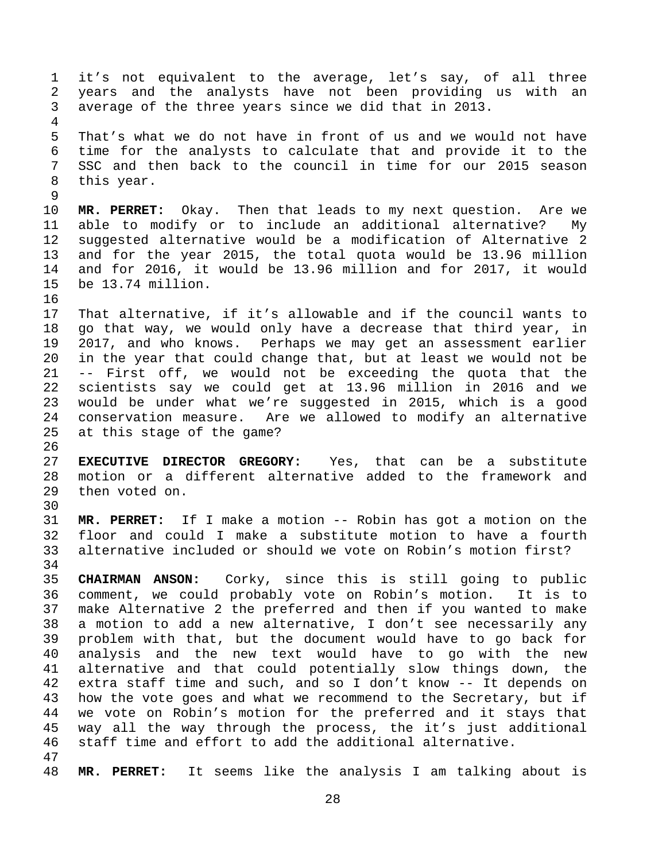1 it's not equivalent to the average, let's say, of all three 2 years and the analysts have not been providing us with an 3 average of the three years since we did that in 2013. 4 5 That's what we do not have in front of us and we would not have 6 time for the analysts to calculate that and provide it to the 7 SSC and then back to the council in time for our 2015 season 8 this year. 9 10 **MR. PERRET:** Okay. Then that leads to my next question. Are we 11 able to modify or to include an additional alternative? My 12 suggested alternative would be a modification of Alternative 2 13 and for the year 2015, the total quota would be 13.96 million 14 and for 2016, it would be 13.96 million and for 2017, it would 15 be 13.74 million. 16 17 That alternative, if it's allowable and if the council wants to 18 go that way, we would only have a decrease that third year, in 19 2017, and who knows. Perhaps we may get an assessment earlier 20 in the year that could change that, but at least we would not be 21 -- First off, we would not be exceeding the quota that the 22 scientists say we could get at 13.96 million in 2016 and we 23 would be under what we're suggested in 2015, which is a good 24 conservation measure. Are we allowed to modify an alternative 25 at this stage of the game? 26 27 **EXECUTIVE DIRECTOR GREGORY:** Yes, that can be a substitute 28 motion or a different alternative added to the framework and 29 then voted on. 30 31 **MR. PERRET:** If I make a motion -- Robin has got a motion on the 32 floor and could I make a substitute motion to have a fourth 33 alternative included or should we vote on Robin's motion first? 34 35 **CHAIRMAN ANSON:** Corky, since this is still going to public 36 comment, we could probably vote on Robin's motion. It is to 37 make Alternative 2 the preferred and then if you wanted to make 38 a motion to add a new alternative, I don't see necessarily any 39 problem with that, but the document would have to go back for 40 analysis and the new text would have to go with the new 41 alternative and that could potentially slow things down, the 42 extra staff time and such, and so I don't know -- It depends on 43 how the vote goes and what we recommend to the Secretary, but if 44 we vote on Robin's motion for the preferred and it stays that 45 way all the way through the process, the it's just additional 46 staff time and effort to add the additional alternative. 47

48 **MR. PERRET:** It seems like the analysis I am talking about is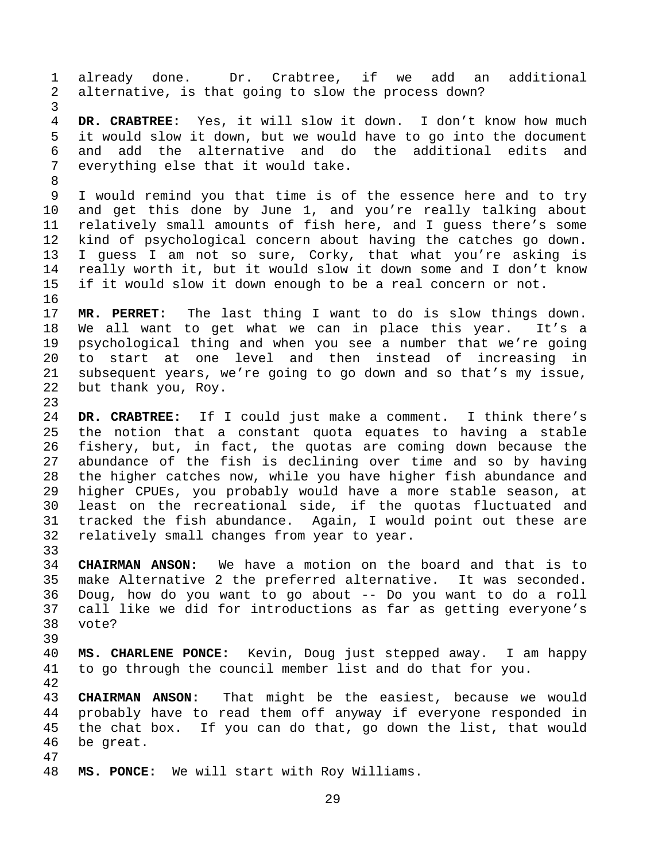1 already done. Dr. Crabtree, if we add an additional 2 alternative, is that going to slow the process down? 3 4 **DR. CRABTREE:** Yes, it will slow it down. I don't know how much 5 it would slow it down, but we would have to go into the document 6 and add the alternative and do the additional edits and 7 everything else that it would take. 8 9 I would remind you that time is of the essence here and to try 10 and get this done by June 1, and you're really talking about 11 relatively small amounts of fish here, and I guess there's some 12 kind of psychological concern about having the catches go down. 13 I guess I am not so sure, Corky, that what you're asking is 14 really worth it, but it would slow it down some and I don't know 15 if it would slow it down enough to be a real concern or not. 16 17 **MR. PERRET:** The last thing I want to do is slow things down. 18 We all want to get what we can in place this year. It's a 19 psychological thing and when you see a number that we're going 20 to start at one level and then instead of increasing in 21 subsequent years, we're going to go down and so that's my issue, 22 but thank you, Roy. 23 24 **DR. CRABTREE:** If I could just make a comment. I think there's 25 the notion that a constant quota equates to having a stable 26 fishery, but, in fact, the quotas are coming down because the 27 abundance of the fish is declining over time and so by having 28 the higher catches now, while you have higher fish abundance and 29 higher CPUEs, you probably would have a more stable season, at 30 least on the recreational side, if the quotas fluctuated and 31 tracked the fish abundance. Again, I would point out these are 32 relatively small changes from year to year. 33 34 **CHAIRMAN ANSON:** We have a motion on the board and that is to 35 make Alternative 2 the preferred alternative. It was seconded. 36 Doug, how do you want to go about -- Do you want to do a roll 37 call like we did for introductions as far as getting everyone's 38 vote? 39 40 **MS. CHARLENE PONCE:** Kevin, Doug just stepped away. I am happy 41 to go through the council member list and do that for you. 42 43 **CHAIRMAN ANSON:** That might be the easiest, because we would 44 probably have to read them off anyway if everyone responded in 45 the chat box. If you can do that, go down the list, that would 46 be great. 47 48 **MS. PONCE:** We will start with Roy Williams.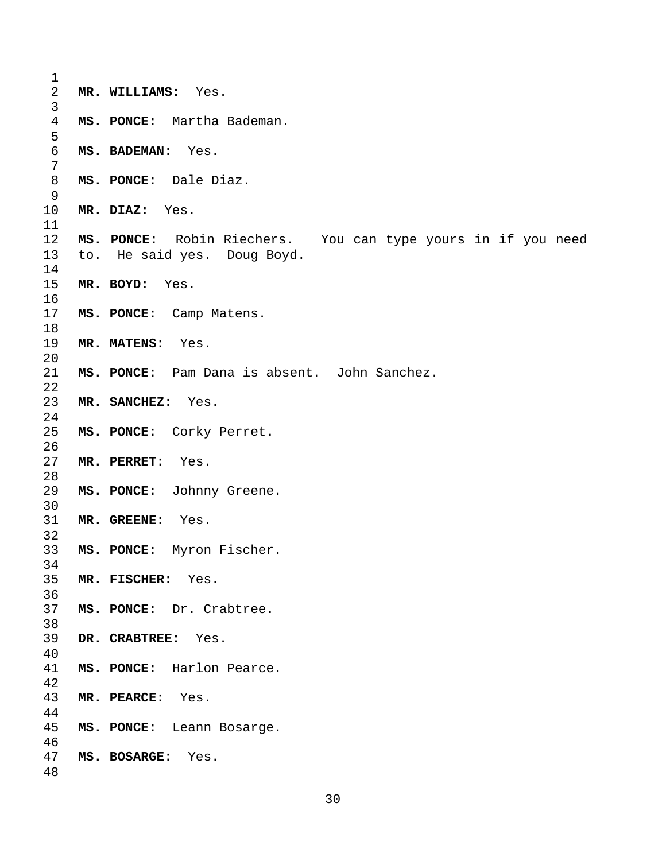| 1              |                                                              |
|----------------|--------------------------------------------------------------|
| $\overline{2}$ | MR. WILLIAMS: Yes.                                           |
| $\mathsf{3}$   |                                                              |
| $\overline{4}$ | MS. PONCE: Martha Bademan.                                   |
| 5              |                                                              |
| $\epsilon$     | MS. BADEMAN: Yes.                                            |
| 7              |                                                              |
| 8              | MS. PONCE: Dale Diaz.                                        |
| 9              |                                                              |
| 10             | MR. DIAZ: Yes.                                               |
| 11             |                                                              |
| 12             | MS. PONCE: Robin Riechers. You can type yours in if you need |
| 13             | to. He said yes. Doug Boyd.                                  |
| 14             |                                                              |
| 15             | MR. BOYD: Yes.                                               |
| 16             |                                                              |
| 17             | MS. PONCE: Camp Matens.                                      |
| 18             |                                                              |
| 19             | MR. MATENS: Yes.                                             |
| 20             |                                                              |
| 21             | MS. PONCE: Pam Dana is absent. John Sanchez.                 |
| 22             |                                                              |
| 23             | MR. SANCHEZ: Yes.                                            |
| 24             |                                                              |
| 25             | MS. PONCE: Corky Perret.                                     |
| 26             |                                                              |
| 27             | MR. PERRET:<br>Yes.                                          |
| 28             |                                                              |
| 29             | MS. PONCE: Johnny Greene.                                    |
| 30             |                                                              |
| 31             | MR. GREENE: Yes.                                             |
| 32             |                                                              |
| 33             | MS. PONCE: Myron Fischer.                                    |
| 34             |                                                              |
| 35             | MR. FISCHER: Yes.                                            |
| 36             |                                                              |
| 37             | MS. PONCE: Dr. Crabtree.                                     |
| 38             |                                                              |
| 39             | DR. CRABTREE: Yes.                                           |
| 40             |                                                              |
| 41             | MS. PONCE: Harlon Pearce.                                    |
| 42             |                                                              |
| 43             | MR. PEARCE: Yes.                                             |
| 44             |                                                              |
| 45             | MS. PONCE: Leann Bosarge.                                    |
| 46             |                                                              |
| 47             | MS. BOSARGE: Yes.                                            |
| 48             |                                                              |
|                |                                                              |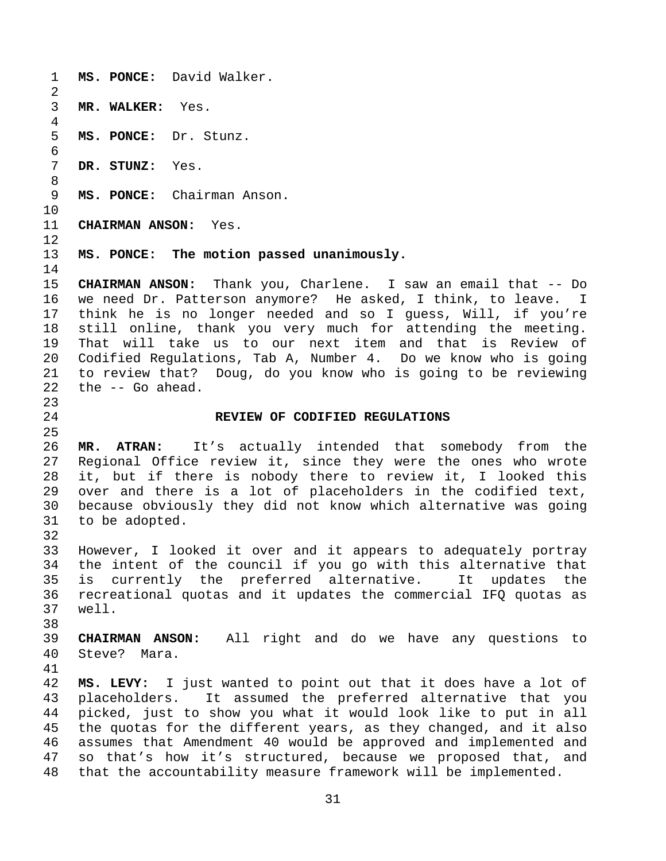1 **MS. PONCE:** David Walker. 2 3 **MR. WALKER:** Yes. 4 5 **MS. PONCE:** Dr. Stunz. 6 7 **DR. STUNZ:** Yes. 8 9 **MS. PONCE:** Chairman Anson. 10 11 **CHAIRMAN ANSON:** Yes. 12 13 **MS. PONCE: The motion passed unanimously.**  14 15 **CHAIRMAN ANSON:** Thank you, Charlene. I saw an email that -- Do 16 we need Dr. Patterson anymore? He asked, I think, to leave. I 17 think he is no longer needed and so I guess, Will, if you're 18 still online, thank you very much for attending the meeting. 19 That will take us to our next item and that is Review of 20 Codified Regulations, Tab A, Number 4. Do we know who is going 21 to review that? Doug, do you know who is going to be reviewing 22 the -- Go ahead. 23 24 **REVIEW OF CODIFIED REGULATIONS**  25 26 **MR. ATRAN:** It's actually intended that somebody from the 27 Regional Office review it, since they were the ones who wrote 28 it, but if there is nobody there to review it, I looked this 29 over and there is a lot of placeholders in the codified text, 30 because obviously they did not know which alternative was going 31 to be adopted. 32 33 However, I looked it over and it appears to adequately portray 34 the intent of the council if you go with this alternative that 35 is currently the preferred alternative. It updates the 36 recreational quotas and it updates the commercial IFQ quotas as 37 well. 38 39 **CHAIRMAN ANSON:** All right and do we have any questions to 40 Steve? Mara. 41 42 **MS. LEVY:** I just wanted to point out that it does have a lot of 43 placeholders. It assumed the preferred alternative that you 44 picked, just to show you what it would look like to put in all 45 the quotas for the different years, as they changed, and it also 46 assumes that Amendment 40 would be approved and implemented and 47 so that's how it's structured, because we proposed that, and 48 that the accountability measure framework will be implemented.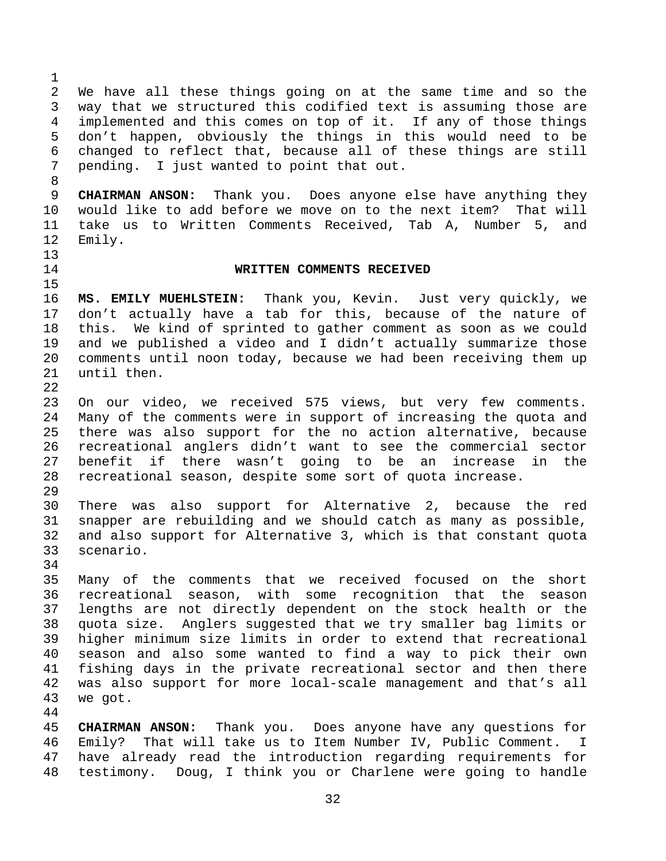2 We have all these things going on at the same time and so the 3 way that we structured this codified text is assuming those are 4 implemented and this comes on top of it. If any of those things 5 don't happen, obviously the things in this would need to be 6 changed to reflect that, because all of these things are still 7 pending. I just wanted to point that out. 8 9 **CHAIRMAN ANSON:** Thank you. Does anyone else have anything they

10 would like to add before we move on to the next item? That will 11 take us to Written Comments Received, Tab A, Number 5, and 12 Emily.

13 15

1

## 14 **WRITTEN COMMENTS RECEIVED**

16 **MS. EMILY MUEHLSTEIN:** Thank you, Kevin. Just very quickly, we 17 don't actually have a tab for this, because of the nature of 18 this. We kind of sprinted to gather comment as soon as we could 19 and we published a video and I didn't actually summarize those 20 comments until noon today, because we had been receiving them up 21 until then.

23 On our video, we received 575 views, but very few comments. 24 Many of the comments were in support of increasing the quota and 25 there was also support for the no action alternative, because 26 recreational anglers didn't want to see the commercial sector 27 benefit if there wasn't going to be an increase in the 28 recreational season, despite some sort of quota increase.

29

22

30 There was also support for Alternative 2, because the red 31 snapper are rebuilding and we should catch as many as possible, 32 and also support for Alternative 3, which is that constant quota 33 scenario.

34

44

35 Many of the comments that we received focused on the short 36 recreational season, with some recognition that the season 37 lengths are not directly dependent on the stock health or the 38 quota size. Anglers suggested that we try smaller bag limits or 39 higher minimum size limits in order to extend that recreational 40 season and also some wanted to find a way to pick their own 41 fishing days in the private recreational sector and then there 42 was also support for more local-scale management and that's all 43 we got.

45 **CHAIRMAN ANSON:** Thank you. Does anyone have any questions for 46 Emily? That will take us to Item Number IV, Public Comment. I 47 have already read the introduction regarding requirements for 48 testimony. Doug, I think you or Charlene were going to handle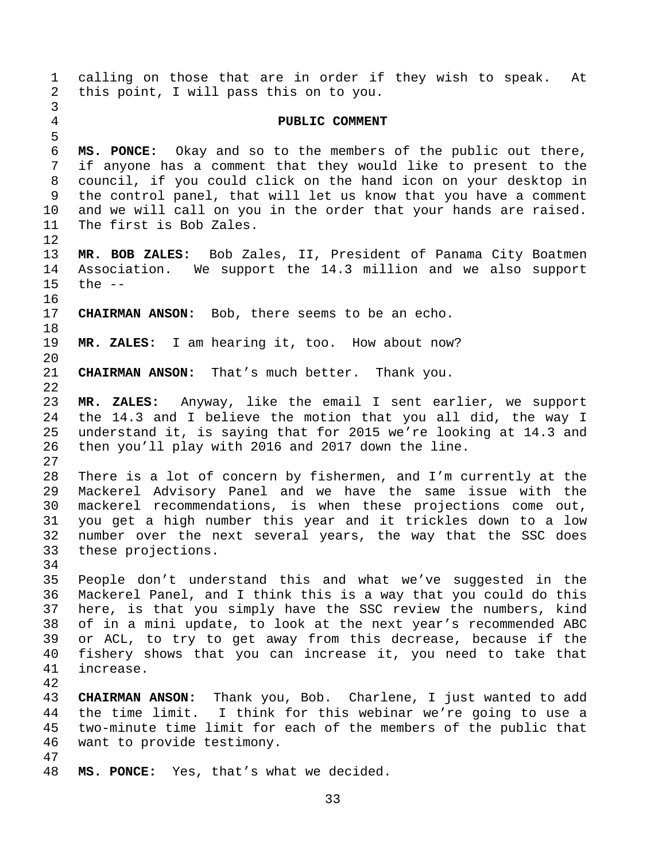1 calling on those that are in order if they wish to speak. At 2 this point, I will pass this on to you. 3 4 **PUBLIC COMMENT**  5 6 **MS. PONCE:** Okay and so to the members of the public out there, 7 if anyone has a comment that they would like to present to the 8 council, if you could click on the hand icon on your desktop in 9 the control panel, that will let us know that you have a comment 10 and we will call on you in the order that your hands are raised. 11 The first is Bob Zales. 12 13 **MR. BOB ZALES:** Bob Zales, II, President of Panama City Boatmen 14 Association. We support the 14.3 million and we also support 15 the -- 16 17 **CHAIRMAN ANSON:** Bob, there seems to be an echo. 18 19 **MR. ZALES:** I am hearing it, too. How about now? 20 21 **CHAIRMAN ANSON:** That's much better. Thank you. 22 23 **MR. ZALES:** Anyway, like the email I sent earlier, we support 24 the 14.3 and I believe the motion that you all did, the way I 25 understand it, is saying that for 2015 we're looking at 14.3 and 26 then you'll play with 2016 and 2017 down the line. 27 28 There is a lot of concern by fishermen, and I'm currently at the 29 Mackerel Advisory Panel and we have the same issue with the 30 mackerel recommendations, is when these projections come out, 31 you get a high number this year and it trickles down to a low 32 number over the next several years, the way that the SSC does 33 these projections. 34 35 People don't understand this and what we've suggested in the 36 Mackerel Panel, and I think this is a way that you could do this 37 here, is that you simply have the SSC review the numbers, kind 38 of in a mini update, to look at the next year's recommended ABC 39 or ACL, to try to get away from this decrease, because if the 40 fishery shows that you can increase it, you need to take that 41 increase. 42 43 **CHAIRMAN ANSON:** Thank you, Bob. Charlene, I just wanted to add 44 the time limit. I think for this webinar we're going to use a 45 two-minute time limit for each of the members of the public that 46 want to provide testimony. 47 48 **MS. PONCE:** Yes, that's what we decided.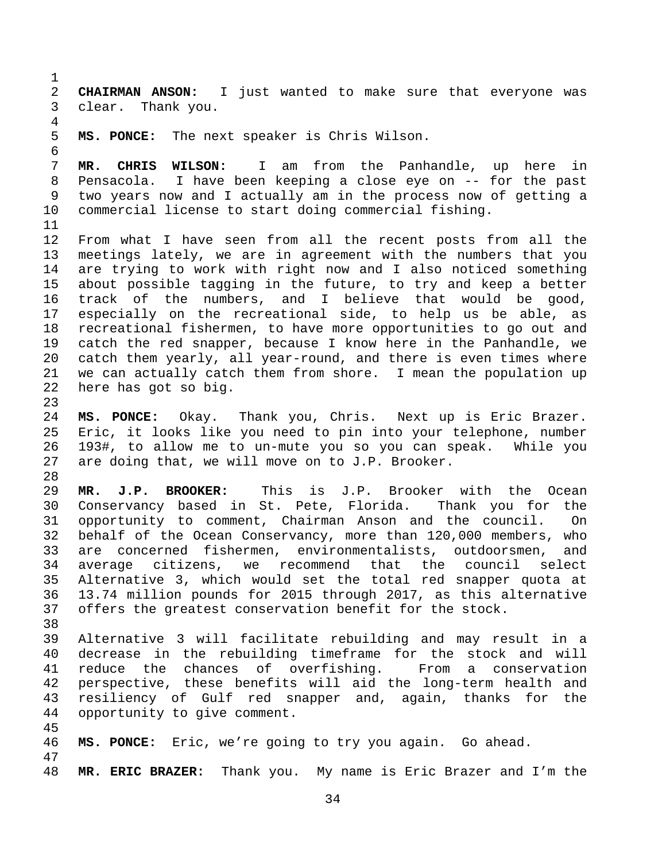1 2 **CHAIRMAN ANSON:** I just wanted to make sure that everyone was 3 clear. Thank you. 4 5 **MS. PONCE:** The next speaker is Chris Wilson. 6 7 **MR. CHRIS WILSON:** I am from the Panhandle, up here in 8 Pensacola. I have been keeping a close eye on -- for the past 9 two years now and I actually am in the process now of getting a 10 commercial license to start doing commercial fishing. 11 12 From what I have seen from all the recent posts from all the 13 meetings lately, we are in agreement with the numbers that you 14 are trying to work with right now and I also noticed something 15 about possible tagging in the future, to try and keep a better 16 track of the numbers, and I believe that would be good, 17 especially on the recreational side, to help us be able, as 18 recreational fishermen, to have more opportunities to go out and 19 catch the red snapper, because I know here in the Panhandle, we 20 catch them yearly, all year-round, and there is even times where 21 we can actually catch them from shore. I mean the population up 22 here has got so big. 23 24 **MS. PONCE:** Okay. Thank you, Chris. Next up is Eric Brazer. 25 Eric, it looks like you need to pin into your telephone, number 26 193#, to allow me to un-mute you so you can speak. While you 27 are doing that, we will move on to J.P. Brooker. 28 29 **MR. J.P. BROOKER:** This is J.P. Brooker with the Ocean 30 Conservancy based in St. Pete, Florida. Thank you for the 31 opportunity to comment, Chairman Anson and the council. On 32 behalf of the Ocean Conservancy, more than 120,000 members, who 33 are concerned fishermen, environmentalists, outdoorsmen, and 34 average citizens, we recommend that the council select 35 Alternative 3, which would set the total red snapper quota at 36 13.74 million pounds for 2015 through 2017, as this alternative 37 offers the greatest conservation benefit for the stock. 38 39 Alternative 3 will facilitate rebuilding and may result in a 40 decrease in the rebuilding timeframe for the stock and will 41 reduce the chances of overfishing. From a conservation 42 perspective, these benefits will aid the long-term health and 43 resiliency of Gulf red snapper and, again, thanks for the 44 opportunity to give comment. 45 46 **MS. PONCE:** Eric, we're going to try you again. Go ahead. 47 48 **MR. ERIC BRAZER:** Thank you. My name is Eric Brazer and I'm the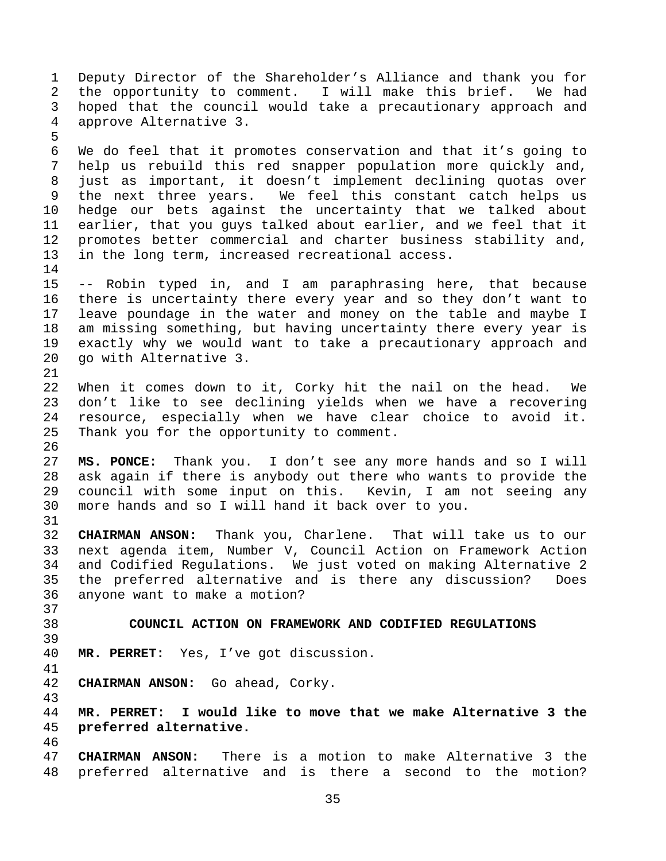1 Deputy Director of the Shareholder's Alliance and thank you for 2 the opportunity to comment. I will make this brief. We had 3 hoped that the council would take a precautionary approach and 4 approve Alternative 3. 5 6 We do feel that it promotes conservation and that it's going to 7 help us rebuild this red snapper population more quickly and, 8 just as important, it doesn't implement declining quotas over 9 the next three years. We feel this constant catch helps us 10 hedge our bets against the uncertainty that we talked about 11 earlier, that you guys talked about earlier, and we feel that it 12 promotes better commercial and charter business stability and, 13 in the long term, increased recreational access. 14 15 -- Robin typed in, and I am paraphrasing here, that because 16 there is uncertainty there every year and so they don't want to 17 leave poundage in the water and money on the table and maybe I 18 am missing something, but having uncertainty there every year is 19 exactly why we would want to take a precautionary approach and 20 go with Alternative 3. 21 22 When it comes down to it, Corky hit the nail on the head. We 23 don't like to see declining yields when we have a recovering 24 resource, especially when we have clear choice to avoid it. 25 Thank you for the opportunity to comment. 26 27 **MS. PONCE:** Thank you. I don't see any more hands and so I will 28 ask again if there is anybody out there who wants to provide the 29 council with some input on this. Kevin, I am not seeing any 30 more hands and so I will hand it back over to you. 31 32 **CHAIRMAN ANSON:** Thank you, Charlene. That will take us to our 33 next agenda item, Number V, Council Action on Framework Action 34 and Codified Regulations. We just voted on making Alternative 2 35 the preferred alternative and is there any discussion? Does 36 anyone want to make a motion? 37 38 **COUNCIL ACTION ON FRAMEWORK AND CODIFIED REGULATIONS**  39 40 **MR. PERRET:** Yes, I've got discussion. 41 42 **CHAIRMAN ANSON:** Go ahead, Corky. 43 44 **MR. PERRET: I would like to move that we make Alternative 3 the**  45 **preferred alternative.**  46 47 **CHAIRMAN ANSON:** There is a motion to make Alternative 3 the 48 preferred alternative and is there a second to the motion?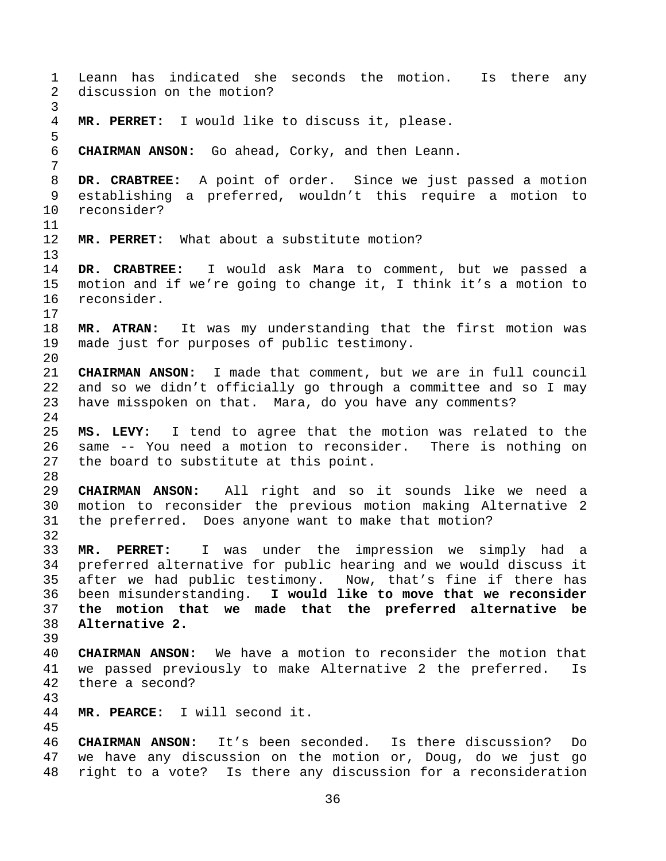1 Leann has indicated she seconds the motion. Is there any 2 discussion on the motion? 3 4 **MR. PERRET:** I would like to discuss it, please. 5 6 **CHAIRMAN ANSON:** Go ahead, Corky, and then Leann. 7 8 **DR. CRABTREE:** A point of order. Since we just passed a motion 9 establishing a preferred, wouldn't this require a motion to 10 reconsider? 11 12 **MR. PERRET:** What about a substitute motion? 13 14 **DR. CRABTREE:** I would ask Mara to comment, but we passed a 15 motion and if we're going to change it, I think it's a motion to 16 reconsider. 17 18 **MR. ATRAN:** It was my understanding that the first motion was 19 made just for purposes of public testimony. 20 21 **CHAIRMAN ANSON:** I made that comment, but we are in full council 22 and so we didn't officially go through a committee and so I may 23 have misspoken on that. Mara, do you have any comments? 24 25 **MS. LEVY:** I tend to agree that the motion was related to the 26 same -- You need a motion to reconsider. There is nothing on 27 the board to substitute at this point. 28 29 **CHAIRMAN ANSON:** All right and so it sounds like we need a 30 motion to reconsider the previous motion making Alternative 2 31 the preferred. Does anyone want to make that motion? 32 33 **MR. PERRET:** I was under the impression we simply had a 34 preferred alternative for public hearing and we would discuss it 35 after we had public testimony. Now, that's fine if there has 36 been misunderstanding. **I would like to move that we reconsider**  37 **the motion that we made that the preferred alternative be**  38 **Alternative 2.**  39 40 **CHAIRMAN ANSON:** We have a motion to reconsider the motion that 41 we passed previously to make Alternative 2 the preferred. Is 42 there a second? 43 44 **MR. PEARCE:** I will second it. 45 46 **CHAIRMAN ANSON:** It's been seconded. Is there discussion? Do 47 we have any discussion on the motion or, Doug, do we just go 48 right to a vote? Is there any discussion for a reconsideration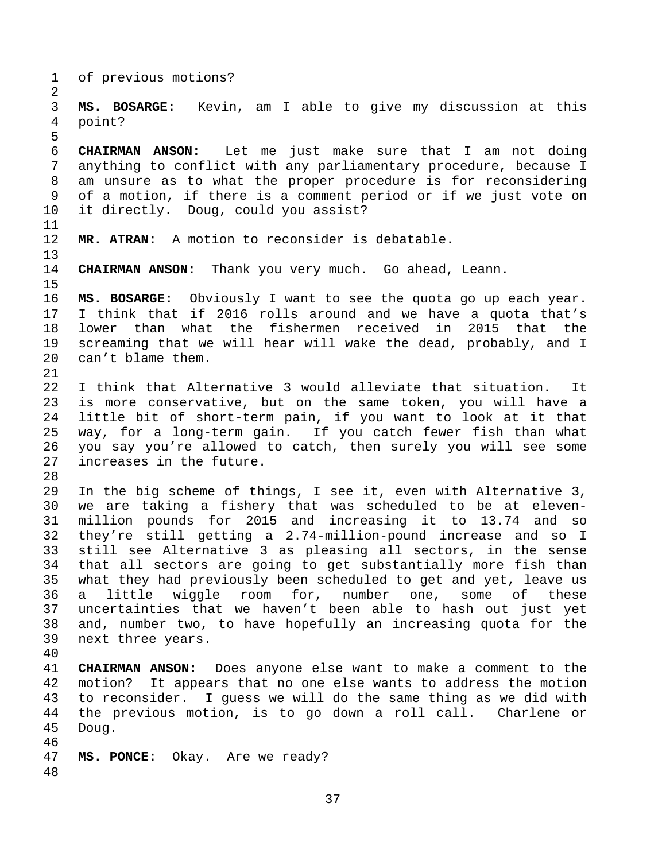37 1 of previous motions? 2 3 **MS. BOSARGE:** Kevin, am I able to give my discussion at this 4 point? 5 6 **CHAIRMAN ANSON:** Let me just make sure that I am not doing 7 anything to conflict with any parliamentary procedure, because I 8 am unsure as to what the proper procedure is for reconsidering 9 of a motion, if there is a comment period or if we just vote on 10 it directly. Doug, could you assist? 11 12 **MR. ATRAN:** A motion to reconsider is debatable. 13 14 **CHAIRMAN ANSON:** Thank you very much. Go ahead, Leann. 15 16 **MS. BOSARGE:** Obviously I want to see the quota go up each year. 17 I think that if 2016 rolls around and we have a quota that's 18 lower than what the fishermen received in 2015 that the 19 screaming that we will hear will wake the dead, probably, and I 20 can't blame them. 21 22 I think that Alternative 3 would alleviate that situation. It 23 is more conservative, but on the same token, you will have a 24 little bit of short-term pain, if you want to look at it that 25 way, for a long-term gain. If you catch fewer fish than what 26 you say you're allowed to catch, then surely you will see some 27 increases in the future. 28 29 In the big scheme of things, I see it, even with Alternative 3, 30 we are taking a fishery that was scheduled to be at eleven-31 million pounds for 2015 and increasing it to 13.74 and so 32 they're still getting a 2.74-million-pound increase and so I 33 still see Alternative 3 as pleasing all sectors, in the sense 34 that all sectors are going to get substantially more fish than 35 what they had previously been scheduled to get and yet, leave us 36 a little wiggle room for, number one, some of these 37 uncertainties that we haven't been able to hash out just yet 38 and, number two, to have hopefully an increasing quota for the 39 next three years. 40 41 **CHAIRMAN ANSON:** Does anyone else want to make a comment to the 42 motion? It appears that no one else wants to address the motion 43 to reconsider. I guess we will do the same thing as we did with 44 the previous motion, is to go down a roll call. Charlene or 45 Doug. 46 47 **MS. PONCE:** Okay. Are we ready? 48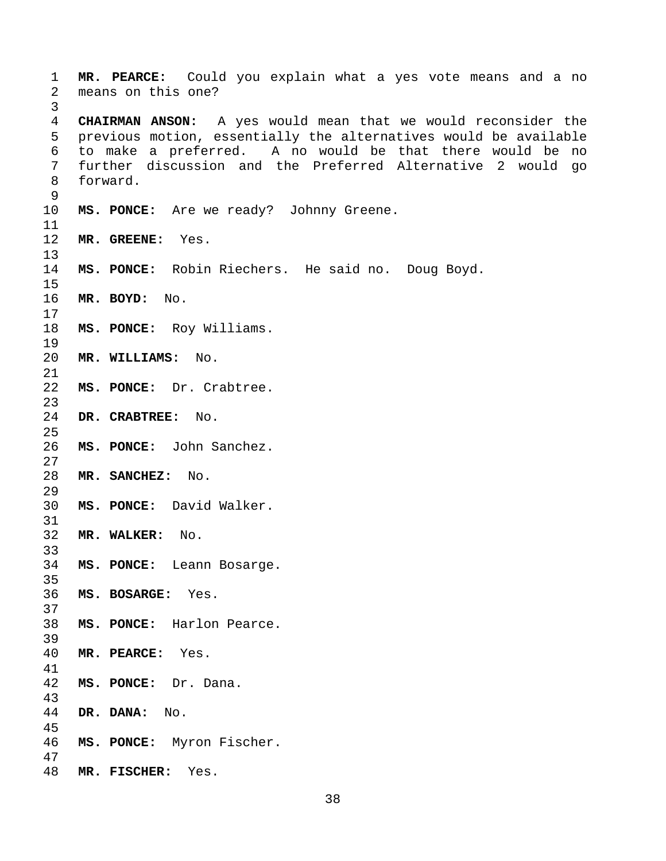**MR. PEARCE:** Could you explain what a yes vote means and a no 2 means on this one? **CHAIRMAN ANSON:** A yes would mean that we would reconsider the 5 previous motion, essentially the alternatives would be available 6 to make a preferred. A no would be that there would be no 7 further discussion and the Preferred Alternative 2 would go 8 forward. **MS. PONCE:** Are we ready? Johnny Greene. **MR. GREENE:** Yes. **MS. PONCE:** Robin Riechers. He said no. Doug Boyd. **MR. BOYD:** No. **MS. PONCE:** Roy Williams. **MR. WILLIAMS:** No. **MS. PONCE:** Dr. Crabtree. **DR. CRABTREE:** No. **MS. PONCE:** John Sanchez. **MR. SANCHEZ:** No. **MS. PONCE:** David Walker. **MR. WALKER:** No. **MS. PONCE:** Leann Bosarge. **MS. BOSARGE:** Yes. **MS. PONCE:** Harlon Pearce. **MR. PEARCE:** Yes. **MS. PONCE:** Dr. Dana. **DR. DANA:** No. **MS. PONCE:** Myron Fischer. **MR. FISCHER:** Yes.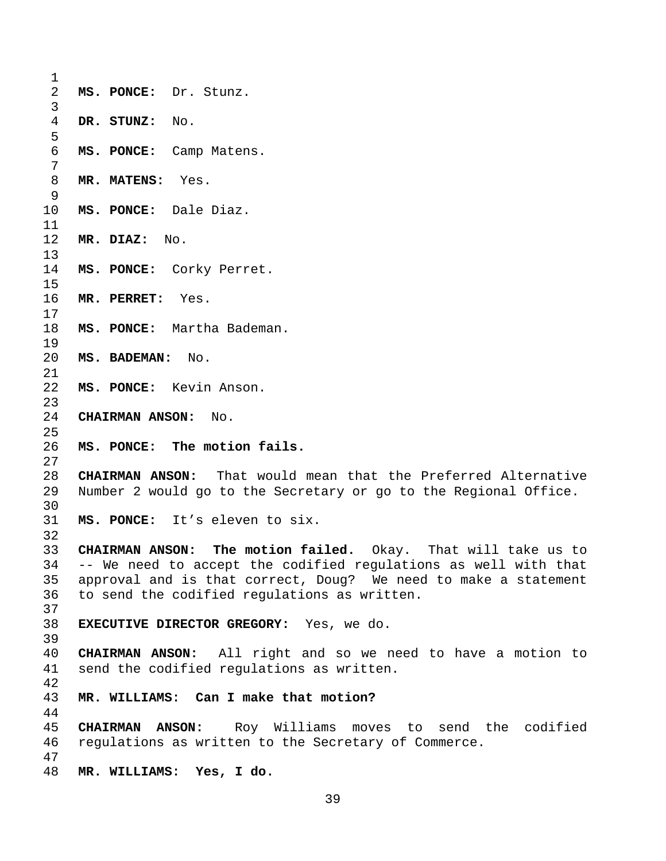**MS. PONCE:** Dr. Stunz. **DR. STUNZ:** No. **MS. PONCE:** Camp Matens. **MR. MATENS:** Yes. **MS. PONCE:** Dale Diaz. **MR. DIAZ:** No. **MS. PONCE:** Corky Perret. **MR. PERRET:** Yes. **MS. PONCE:** Martha Bademan. **MS. BADEMAN:** No. **MS. PONCE:** Kevin Anson. **CHAIRMAN ANSON:** No. **MS. PONCE: The motion fails. CHAIRMAN ANSON:** That would mean that the Preferred Alternative 29 Number 2 would go to the Secretary or go to the Regional Office. **MS. PONCE:** It's eleven to six. **CHAIRMAN ANSON: The motion failed.** Okay. That will take us to 34 -- We need to accept the codified regulations as well with that 35 approval and is that correct, Doug? We need to make a statement 36 to send the codified regulations as written. **EXECUTIVE DIRECTOR GREGORY:** Yes, we do. **CHAIRMAN ANSON:** All right and so we need to have a motion to 41 send the codified regulations as written. **MR. WILLIAMS: Can I make that motion? CHAIRMAN ANSON:** Roy Williams moves to send the codified 46 regulations as written to the Secretary of Commerce. **MR. WILLIAMS: Yes, I do.**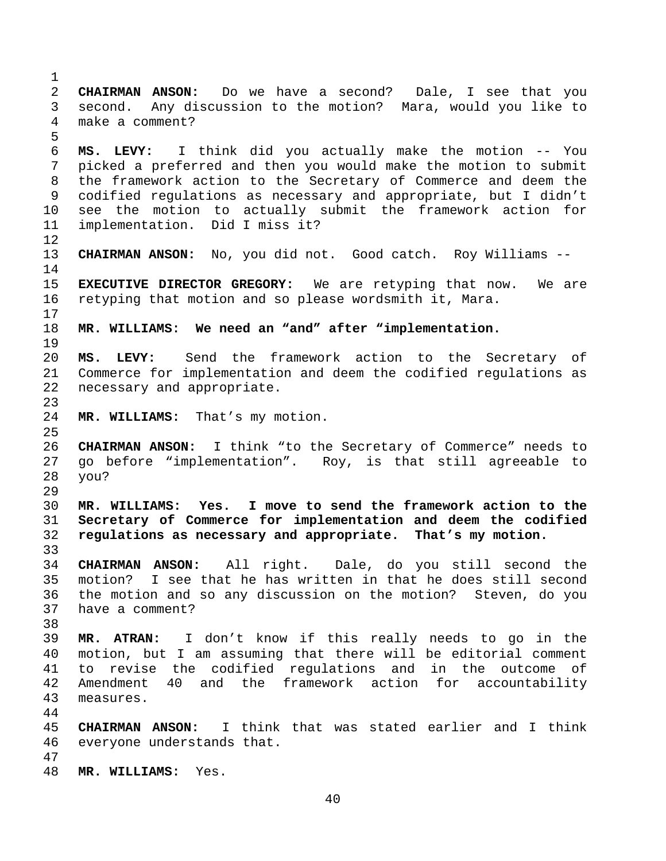2 **CHAIRMAN ANSON:** Do we have a second? Dale, I see that you 3 second. Any discussion to the motion? Mara, would you like to 4 make a comment? 5 6 **MS. LEVY:** I think did you actually make the motion -- You 7 picked a preferred and then you would make the motion to submit 8 the framework action to the Secretary of Commerce and deem the 9 codified regulations as necessary and appropriate, but I didn't 10 see the motion to actually submit the framework action for 11 implementation. Did I miss it? 12 13 **CHAIRMAN ANSON:** No, you did not. Good catch. Roy Williams -- 14 15 **EXECUTIVE DIRECTOR GREGORY:** We are retyping that now. We are 16 retyping that motion and so please wordsmith it, Mara. 17 18 **MR. WILLIAMS: We need an "and" after "implementation.**  19 20 **MS. LEVY:** Send the framework action to the Secretary of 21 Commerce for implementation and deem the codified regulations as 22 necessary and appropriate. 23 24 **MR. WILLIAMS:** That's my motion. 25 26 **CHAIRMAN ANSON:** I think "to the Secretary of Commerce" needs to 27 go before "implementation". Roy, is that still agreeable to 28 you? 29 30 **MR. WILLIAMS: Yes. I move to send the framework action to the**  31 **Secretary of Commerce for implementation and deem the codified**  32 **regulations as necessary and appropriate. That's my motion.**  33 34 **CHAIRMAN ANSON:** All right. Dale, do you still second the 35 motion? I see that he has written in that he does still second 36 the motion and so any discussion on the motion? Steven, do you 37 have a comment? 38 39 **MR. ATRAN:** I don't know if this really needs to go in the 40 motion, but I am assuming that there will be editorial comment 41 to revise the codified regulations and in the outcome of 42 Amendment 40 and the framework action for accountability 43 measures. 44 45 **CHAIRMAN ANSON:** I think that was stated earlier and I think 46 everyone understands that. 47 48 **MR. WILLIAMS:** Yes.

1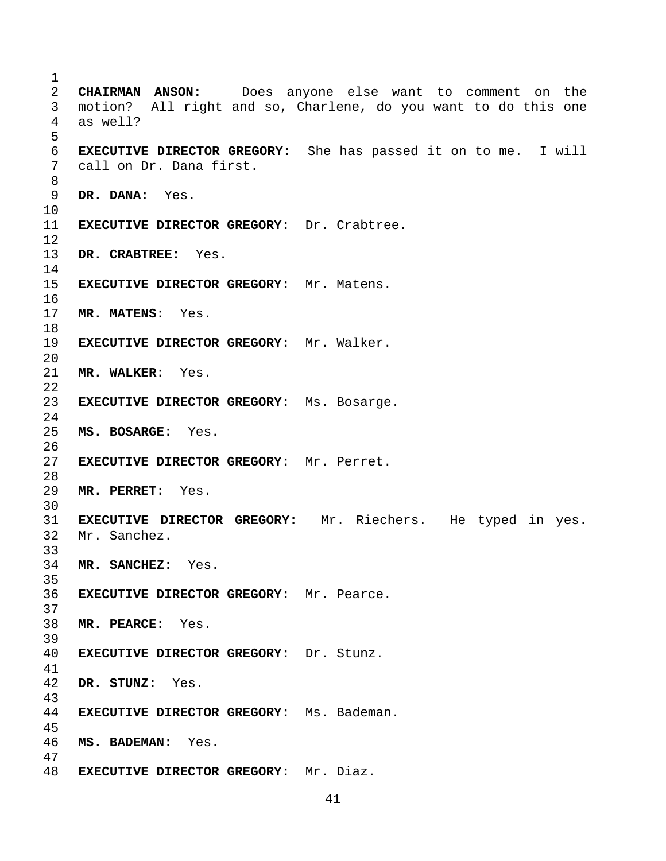**CHAIRMAN ANSON:** Does anyone else want to comment on the 3 motion? All right and so, Charlene, do you want to do this one 4 as well? **EXECUTIVE DIRECTOR GREGORY:** She has passed it on to me. I will 7 call on Dr. Dana first. **DR. DANA:** Yes. **EXECUTIVE DIRECTOR GREGORY:** Dr. Crabtree. **DR. CRABTREE:** Yes. **EXECUTIVE DIRECTOR GREGORY:** Mr. Matens. **MR. MATENS:** Yes. **EXECUTIVE DIRECTOR GREGORY:** Mr. Walker. **MR. WALKER:** Yes. **EXECUTIVE DIRECTOR GREGORY:** Ms. Bosarge. **MS. BOSARGE:** Yes. **EXECUTIVE DIRECTOR GREGORY:** Mr. Perret. **MR. PERRET:** Yes. **EXECUTIVE DIRECTOR GREGORY:** Mr. Riechers. He typed in yes. 32 Mr. Sanchez. **MR. SANCHEZ:** Yes. **EXECUTIVE DIRECTOR GREGORY:** Mr. Pearce. **MR. PEARCE:** Yes. **EXECUTIVE DIRECTOR GREGORY:** Dr. Stunz. **DR. STUNZ:** Yes. **EXECUTIVE DIRECTOR GREGORY:** Ms. Bademan. **MS. BADEMAN:** Yes. **EXECUTIVE DIRECTOR GREGORY:** Mr. Diaz.